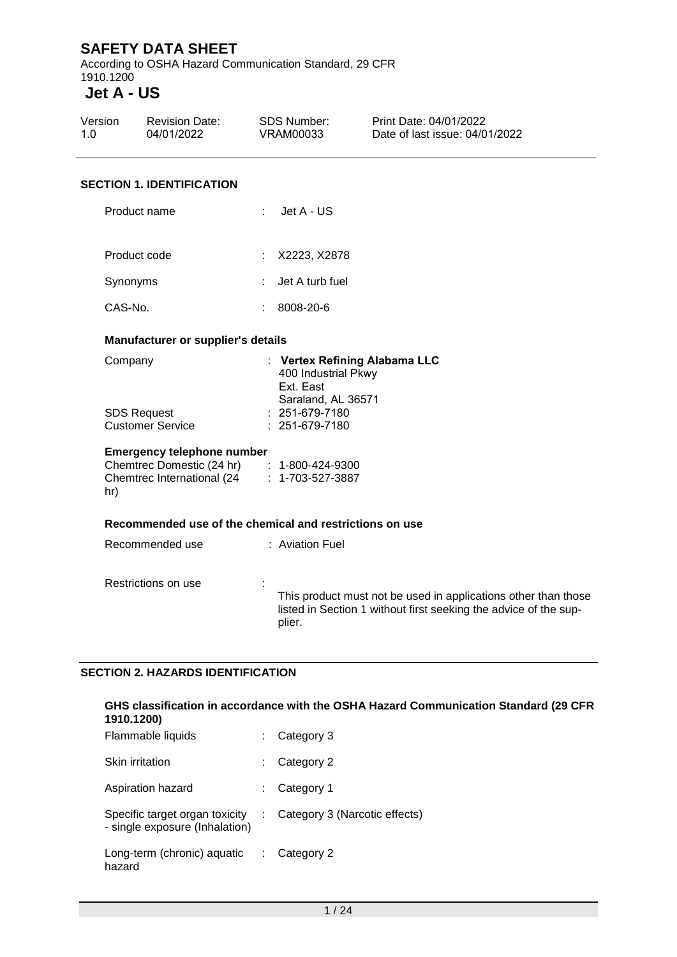According to OSHA Hazard Communication Standard, 29 CFR 1910.1200

# **Jet A - US**

| Version | <b>Revision Date:</b> | SDS Number: | Print Date: 04/01/2022         |
|---------|-----------------------|-------------|--------------------------------|
| 1.0     | 04/01/2022            | VRAM00033   | Date of last issue: 04/01/2022 |
|         |                       |             |                                |

#### **SECTION 1. IDENTIFICATION**

| Product name | Jet A - US |
|--------------|------------|
|              |            |

| Product code | : X2223. X2878    |
|--------------|-------------------|
| Synonyms     | : Jet A turb fuel |
| CAS-No.      | 8008-20-6         |

#### **Manufacturer or supplier's details**

| : Vertex Refining Alabama LLC |
|-------------------------------|
| 400 Industrial Pkwy           |
| Ext. East                     |
| Saraland, AL 36571            |
| $: 251-679-7180$              |
| $: 251-679-7180$              |
|                               |

#### **Emergency telephone number**

| Chemtrec Domestic (24 hr)  | $: 1 - 800 - 424 - 9300$ |
|----------------------------|--------------------------|
| Chemtrec International (24 | $: 1 - 703 - 527 - 3887$ |
| hr)                        |                          |

#### **Recommended use of the chemical and restrictions on use**

| Recommended use     | : Aviation Fuel                                                  |
|---------------------|------------------------------------------------------------------|
| Restrictions on use | This product must not be used in applications other than those   |
| ٠.                  | listed in Section 1 without first seeking the advice of the sup- |
| $\mathbf{r}$        | plier.                                                           |

#### **SECTION 2. HAZARDS IDENTIFICATION**

#### **GHS classification in accordance with the OSHA Hazard Communication Standard (29 CFR 1910.1200)**

| Flammable liquids                                                | Category 3                    |
|------------------------------------------------------------------|-------------------------------|
| Skin irritation                                                  | Category 2                    |
| Aspiration hazard                                                | Category 1                    |
| Specific target organ toxicity<br>- single exposure (Inhalation) | Category 3 (Narcotic effects) |
| Long-term (chronic) aquatic<br>hazard                            | Category 2                    |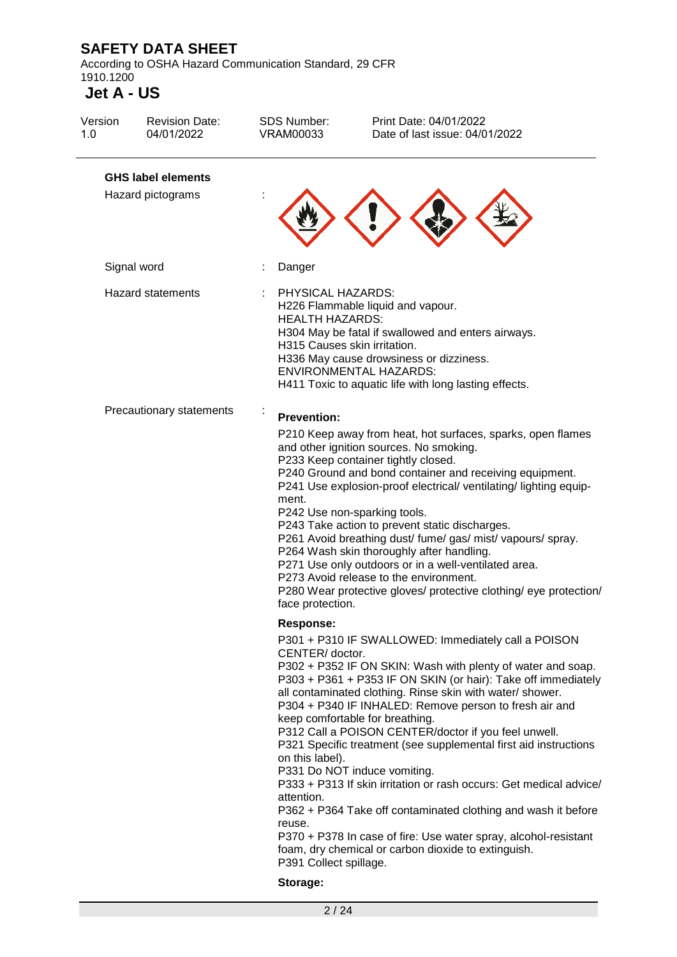According to OSHA Hazard Communication Standard, 29 CFR 1910.1200

| Version<br>1.0 | <b>Revision Date:</b><br>04/01/2022            | <b>SDS Number:</b><br><b>VRAM00033</b>                                                                        | Print Date: 04/01/2022<br>Date of last issue: 04/01/2022                                                                                                                                                                                                                                                                                                                                                                                                                                                                                                                                                                                                                                                                                                                   |
|----------------|------------------------------------------------|---------------------------------------------------------------------------------------------------------------|----------------------------------------------------------------------------------------------------------------------------------------------------------------------------------------------------------------------------------------------------------------------------------------------------------------------------------------------------------------------------------------------------------------------------------------------------------------------------------------------------------------------------------------------------------------------------------------------------------------------------------------------------------------------------------------------------------------------------------------------------------------------------|
|                | <b>GHS label elements</b><br>Hazard pictograms |                                                                                                               |                                                                                                                                                                                                                                                                                                                                                                                                                                                                                                                                                                                                                                                                                                                                                                            |
|                | Signal word                                    | Danger                                                                                                        |                                                                                                                                                                                                                                                                                                                                                                                                                                                                                                                                                                                                                                                                                                                                                                            |
|                | <b>Hazard statements</b>                       | PHYSICAL HAZARDS:<br><b>HEALTH HAZARDS:</b><br>H315 Causes skin irritation.                                   | H226 Flammable liquid and vapour.<br>H304 May be fatal if swallowed and enters airways.<br>H336 May cause drowsiness or dizziness.<br><b>ENVIRONMENTAL HAZARDS:</b><br>H411 Toxic to aquatic life with long lasting effects.                                                                                                                                                                                                                                                                                                                                                                                                                                                                                                                                               |
|                | Precautionary statements                       | <b>Prevention:</b><br>ment.<br>face protection.                                                               | P210 Keep away from heat, hot surfaces, sparks, open flames<br>and other ignition sources. No smoking.<br>P233 Keep container tightly closed.<br>P240 Ground and bond container and receiving equipment.<br>P241 Use explosion-proof electrical/ ventilating/ lighting equip-<br>P242 Use non-sparking tools.<br>P243 Take action to prevent static discharges.<br>P261 Avoid breathing dust/ fume/ gas/ mist/ vapours/ spray.<br>P264 Wash skin thoroughly after handling.<br>P271 Use only outdoors or in a well-ventilated area.<br>P273 Avoid release to the environment.<br>P280 Wear protective gloves/ protective clothing/ eye protection/                                                                                                                         |
|                |                                                | Response:<br>CENTER/ doctor.<br>on this label).<br>attention.<br>reuse.<br>P391 Collect spillage.<br>Storage: | P301 + P310 IF SWALLOWED: Immediately call a POISON<br>P302 + P352 IF ON SKIN: Wash with plenty of water and soap.<br>P303 + P361 + P353 IF ON SKIN (or hair): Take off immediately<br>all contaminated clothing. Rinse skin with water/ shower.<br>P304 + P340 IF INHALED: Remove person to fresh air and<br>keep comfortable for breathing.<br>P312 Call a POISON CENTER/doctor if you feel unwell.<br>P321 Specific treatment (see supplemental first aid instructions<br>P331 Do NOT induce vomiting.<br>P333 + P313 If skin irritation or rash occurs: Get medical advice/<br>P362 + P364 Take off contaminated clothing and wash it before<br>P370 + P378 In case of fire: Use water spray, alcohol-resistant<br>foam, dry chemical or carbon dioxide to extinguish. |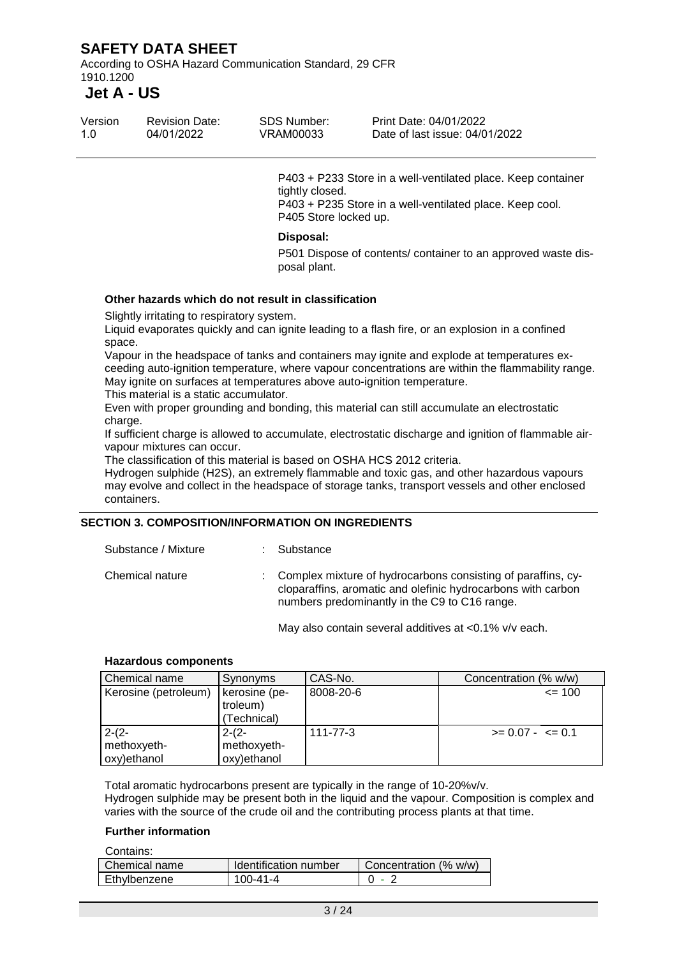According to OSHA Hazard Communication Standard, 29 CFR 1910.1200

# **Jet A - US**

| Version | <b>Revision Date:</b> | SDS Number: | Print Date: 04/01/2022         |
|---------|-----------------------|-------------|--------------------------------|
| 1.O     | 04/01/2022            | VRAM00033   | Date of last issue: 04/01/2022 |

P403 + P233 Store in a well-ventilated place. Keep container tightly closed. P403 + P235 Store in a well-ventilated place. Keep cool. P405 Store locked up.

#### **Disposal:**

P501 Dispose of contents/ container to an approved waste disposal plant.

#### **Other hazards which do not result in classification**

Slightly irritating to respiratory system.

Liquid evaporates quickly and can ignite leading to a flash fire, or an explosion in a confined space.

Vapour in the headspace of tanks and containers may ignite and explode at temperatures exceeding auto-ignition temperature, where vapour concentrations are within the flammability range. May ignite on surfaces at temperatures above auto-ignition temperature.

This material is a static accumulator.

Even with proper grounding and bonding, this material can still accumulate an electrostatic charge.

If sufficient charge is allowed to accumulate, electrostatic discharge and ignition of flammable airvapour mixtures can occur.

The classification of this material is based on OSHA HCS 2012 criteria.

Hydrogen sulphide (H2S), an extremely flammable and toxic gas, and other hazardous vapours may evolve and collect in the headspace of storage tanks, transport vessels and other enclosed containers.

#### **SECTION 3. COMPOSITION/INFORMATION ON INGREDIENTS**

| Substance / Mixture | : Substance                                                                                                                                                                     |
|---------------------|---------------------------------------------------------------------------------------------------------------------------------------------------------------------------------|
| Chemical nature     | : Complex mixture of hydrocarbons consisting of paraffins, cy-<br>cloparaffins, aromatic and olefinic hydrocarbons with carbon<br>numbers predominantly in the C9 to C16 range. |
|                     |                                                                                                                                                                                 |

May also contain several additives at <0.1% v/v each.

#### **Hazardous components**

| Chemical name        | Synonyms      | CAS-No.   | Concentration (% w/w) |
|----------------------|---------------|-----------|-----------------------|
| Kerosine (petroleum) | kerosine (pe- | 8008-20-6 | $= 100$               |
|                      | troleum)      |           |                       |
|                      | (Technical)   |           |                       |
| $2-(2-$              | $2-(2-$       | 111-77-3  | $>= 0.07 - \le 0.1$   |
| methoxyeth-          | methoxyeth-   |           |                       |
| oxy)ethanol          | oxy)ethanol   |           |                       |

Total aromatic hydrocarbons present are typically in the range of 10-20%v/v. Hydrogen sulphide may be present both in the liquid and the vapour. Composition is complex and varies with the source of the crude oil and the contributing process plants at that time.

#### **Further information**

Contains:

| CUNICINS.     |                       |                       |
|---------------|-----------------------|-----------------------|
| Chemical name | Identification number | Concentration (% w/w) |
| Ethvlbenzene  | 100-41-4              | - 2                   |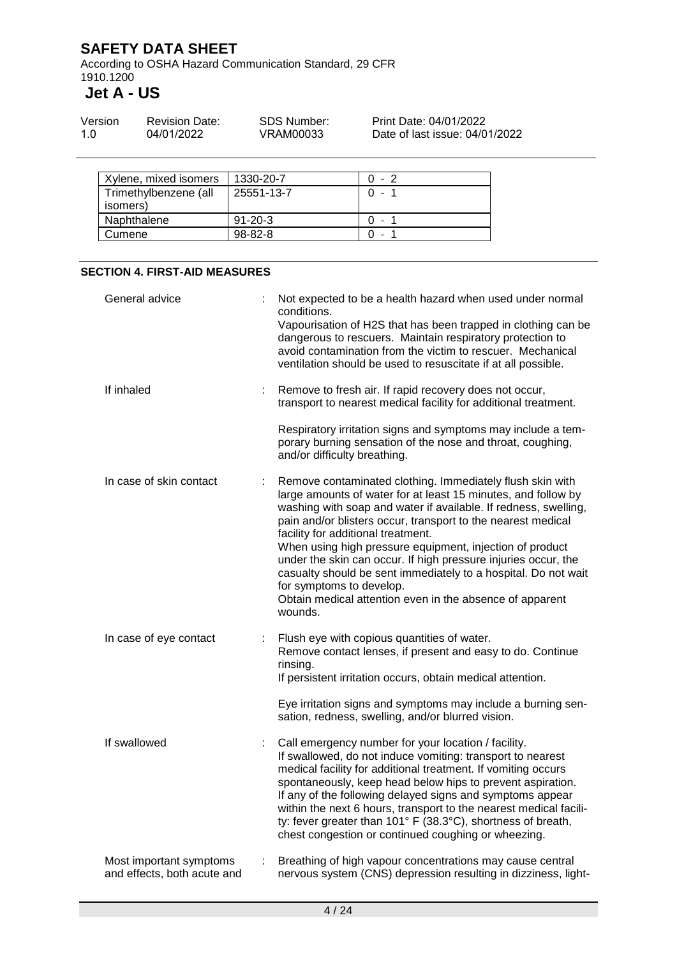According to OSHA Hazard Communication Standard, 29 CFR 1910.1200

**Jet A - US**

| Version | <b>Revision Date:</b> | SDS Number: | Print Date: 04/01/2022         |
|---------|-----------------------|-------------|--------------------------------|
| 1.0     | 04/01/2022            | VRAM00033   | Date of last issue: 04/01/2022 |

| Xylene, mixed isomers             | 1330-20-7     | $0 - 2$ |
|-----------------------------------|---------------|---------|
| Trimethylbenzene (all<br>isomers) | 25551-13-7    | ∩ -     |
| Naphthalene                       | $91 - 20 - 3$ | റ -     |
| Cumene                            | $98 - 82 - 8$ |         |

#### **SECTION 4. FIRST-AID MEASURES**

| General advice                                         | Not expected to be a health hazard when used under normal<br>conditions.<br>Vapourisation of H2S that has been trapped in clothing can be<br>dangerous to rescuers. Maintain respiratory protection to<br>avoid contamination from the victim to rescuer. Mechanical<br>ventilation should be used to resuscitate if at all possible.                                                                                                                                                                                                                                                                  |
|--------------------------------------------------------|--------------------------------------------------------------------------------------------------------------------------------------------------------------------------------------------------------------------------------------------------------------------------------------------------------------------------------------------------------------------------------------------------------------------------------------------------------------------------------------------------------------------------------------------------------------------------------------------------------|
| If inhaled                                             | Remove to fresh air. If rapid recovery does not occur,<br>transport to nearest medical facility for additional treatment.                                                                                                                                                                                                                                                                                                                                                                                                                                                                              |
|                                                        | Respiratory irritation signs and symptoms may include a tem-<br>porary burning sensation of the nose and throat, coughing,<br>and/or difficulty breathing.                                                                                                                                                                                                                                                                                                                                                                                                                                             |
| In case of skin contact                                | Remove contaminated clothing. Immediately flush skin with<br>large amounts of water for at least 15 minutes, and follow by<br>washing with soap and water if available. If redness, swelling,<br>pain and/or blisters occur, transport to the nearest medical<br>facility for additional treatment.<br>When using high pressure equipment, injection of product<br>under the skin can occur. If high pressure injuries occur, the<br>casualty should be sent immediately to a hospital. Do not wait<br>for symptoms to develop.<br>Obtain medical attention even in the absence of apparent<br>wounds. |
| In case of eye contact                                 | Flush eye with copious quantities of water.<br>Remove contact lenses, if present and easy to do. Continue<br>rinsing.<br>If persistent irritation occurs, obtain medical attention.                                                                                                                                                                                                                                                                                                                                                                                                                    |
|                                                        | Eye irritation signs and symptoms may include a burning sen-<br>sation, redness, swelling, and/or blurred vision.                                                                                                                                                                                                                                                                                                                                                                                                                                                                                      |
| If swallowed                                           | Call emergency number for your location / facility.<br>If swallowed, do not induce vomiting: transport to nearest<br>medical facility for additional treatment. If vomiting occurs<br>spontaneously, keep head below hips to prevent aspiration.<br>If any of the following delayed signs and symptoms appear<br>within the next 6 hours, transport to the nearest medical facili-<br>ty: fever greater than 101° F (38.3°C), shortness of breath,<br>chest congestion or continued coughing or wheezing.                                                                                              |
| Most important symptoms<br>and effects, both acute and | Breathing of high vapour concentrations may cause central<br>nervous system (CNS) depression resulting in dizziness, light-                                                                                                                                                                                                                                                                                                                                                                                                                                                                            |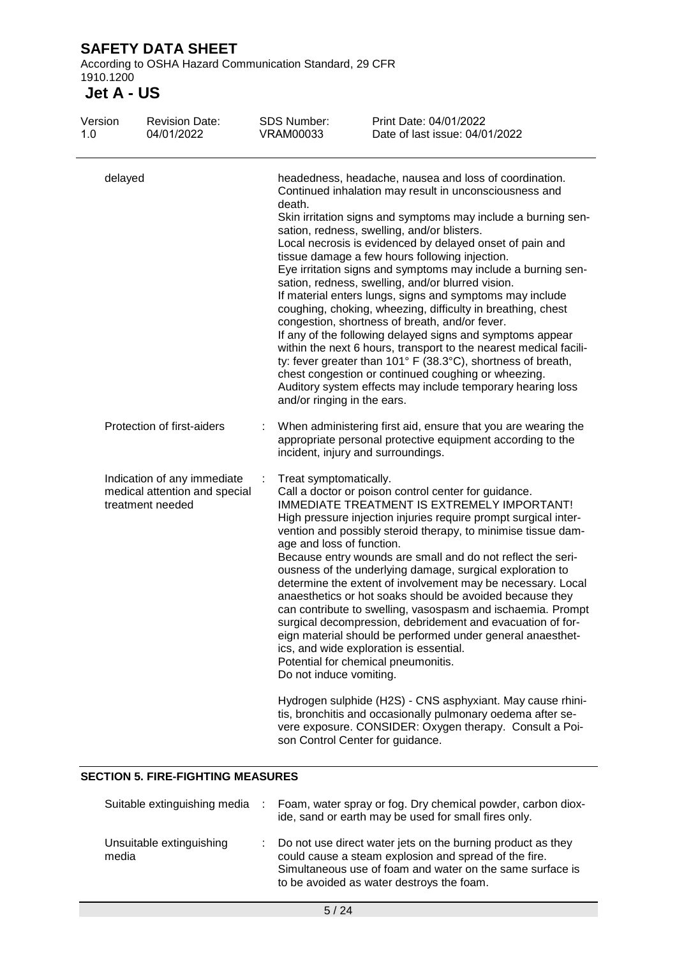According to OSHA Hazard Communication Standard, 29 CFR 1910.1200

### **Jet A - US**

| Version<br>1.0                                                                   | <b>Revision Date:</b><br>04/01/2022 |   | <b>SDS Number:</b><br><b>VRAM00033</b>                                                                                                                                                                                                                                                                                                                                                                                                                                                                                                                                                                                                                                                                                                                                                                                                                                                                                                                                                                           | Print Date: 04/01/2022<br>Date of last issue: 04/01/2022                                                                                                                                                                                                                                                                                                                                                                                                                                                                                                                                                                                                                                                                                                                                                                                                                                                                                                            |  |
|----------------------------------------------------------------------------------|-------------------------------------|---|------------------------------------------------------------------------------------------------------------------------------------------------------------------------------------------------------------------------------------------------------------------------------------------------------------------------------------------------------------------------------------------------------------------------------------------------------------------------------------------------------------------------------------------------------------------------------------------------------------------------------------------------------------------------------------------------------------------------------------------------------------------------------------------------------------------------------------------------------------------------------------------------------------------------------------------------------------------------------------------------------------------|---------------------------------------------------------------------------------------------------------------------------------------------------------------------------------------------------------------------------------------------------------------------------------------------------------------------------------------------------------------------------------------------------------------------------------------------------------------------------------------------------------------------------------------------------------------------------------------------------------------------------------------------------------------------------------------------------------------------------------------------------------------------------------------------------------------------------------------------------------------------------------------------------------------------------------------------------------------------|--|
| delayed                                                                          |                                     |   | headedness, headache, nausea and loss of coordination.<br>Continued inhalation may result in unconsciousness and<br>death.<br>Skin irritation signs and symptoms may include a burning sen-<br>sation, redness, swelling, and/or blisters.<br>Local necrosis is evidenced by delayed onset of pain and<br>tissue damage a few hours following injection.<br>Eye irritation signs and symptoms may include a burning sen-<br>sation, redness, swelling, and/or blurred vision.<br>If material enters lungs, signs and symptoms may include<br>coughing, choking, wheezing, difficulty in breathing, chest<br>congestion, shortness of breath, and/or fever.<br>If any of the following delayed signs and symptoms appear<br>within the next 6 hours, transport to the nearest medical facili-<br>ty: fever greater than 101° F (38.3°C), shortness of breath,<br>chest congestion or continued coughing or wheezing.<br>Auditory system effects may include temporary hearing loss<br>and/or ringing in the ears. |                                                                                                                                                                                                                                                                                                                                                                                                                                                                                                                                                                                                                                                                                                                                                                                                                                                                                                                                                                     |  |
|                                                                                  | Protection of first-aiders          |   | incident, injury and surroundings.                                                                                                                                                                                                                                                                                                                                                                                                                                                                                                                                                                                                                                                                                                                                                                                                                                                                                                                                                                               | When administering first aid, ensure that you are wearing the<br>appropriate personal protective equipment according to the                                                                                                                                                                                                                                                                                                                                                                                                                                                                                                                                                                                                                                                                                                                                                                                                                                         |  |
| Indication of any immediate<br>medical attention and special<br>treatment needed |                                     | ÷ | Treat symptomatically.<br>age and loss of function.<br>Do not induce vomiting.<br>son Control Center for guidance.                                                                                                                                                                                                                                                                                                                                                                                                                                                                                                                                                                                                                                                                                                                                                                                                                                                                                               | Call a doctor or poison control center for guidance.<br>IMMEDIATE TREATMENT IS EXTREMELY IMPORTANT!<br>High pressure injection injuries require prompt surgical inter-<br>vention and possibly steroid therapy, to minimise tissue dam-<br>Because entry wounds are small and do not reflect the seri-<br>ousness of the underlying damage, surgical exploration to<br>determine the extent of involvement may be necessary. Local<br>anaesthetics or hot soaks should be avoided because they<br>can contribute to swelling, vasospasm and ischaemia. Prompt<br>surgical decompression, debridement and evacuation of for-<br>eign material should be performed under general anaesthet-<br>ics, and wide exploration is essential.<br>Potential for chemical pneumonitis.<br>Hydrogen sulphide (H2S) - CNS asphyxiant. May cause rhini-<br>tis, bronchitis and occasionally pulmonary oedema after se-<br>vere exposure. CONSIDER: Oxygen therapy. Consult a Poi- |  |

#### **SECTION 5. FIRE-FIGHTING MEASURES**

| Suitable extinguishing media      | Foam, water spray or fog. Dry chemical powder, carbon diox-<br>ide, sand or earth may be used for small fires only.                                                                                                            |
|-----------------------------------|--------------------------------------------------------------------------------------------------------------------------------------------------------------------------------------------------------------------------------|
| Unsuitable extinguishing<br>media | Do not use direct water jets on the burning product as they<br>could cause a steam explosion and spread of the fire.<br>Simultaneous use of foam and water on the same surface is<br>to be avoided as water destroys the foam. |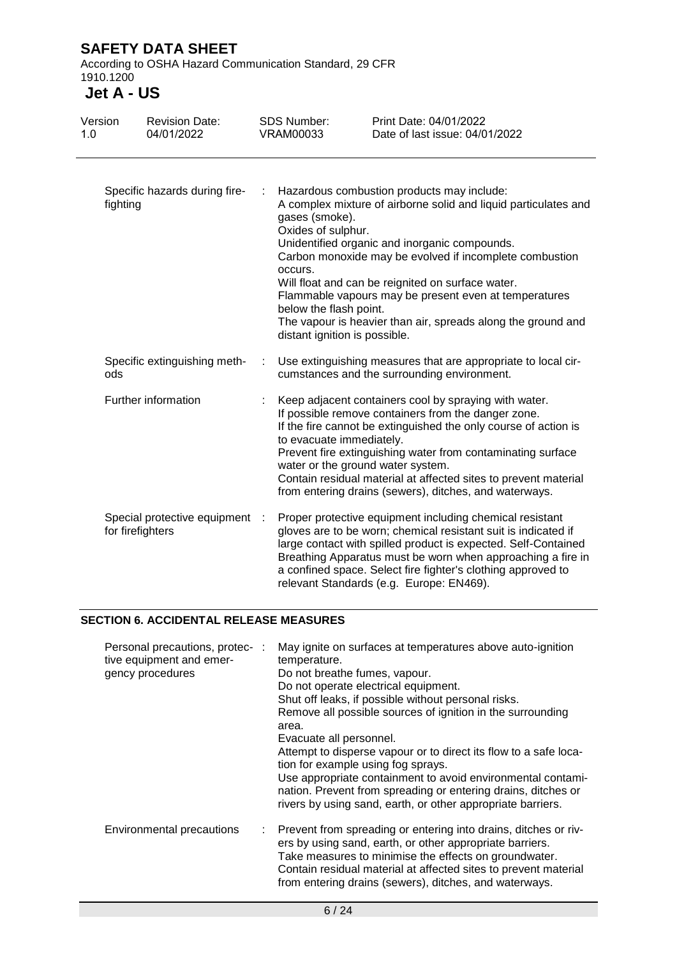According to OSHA Hazard Communication Standard, 29 CFR 1910.1200

# **Jet A - US**

| Version<br>1.0 |                                           | <b>Revision Date:</b><br>04/01/2022 |   | <b>SDS Number:</b><br><b>VRAM00033</b>                                                                                                                                                                                                                                                                                                                                                                                                                                                                                | Print Date: 04/01/2022<br>Date of last issue: 04/01/2022                                                                                                                                                                                                                                                                                                                    |
|----------------|-------------------------------------------|-------------------------------------|---|-----------------------------------------------------------------------------------------------------------------------------------------------------------------------------------------------------------------------------------------------------------------------------------------------------------------------------------------------------------------------------------------------------------------------------------------------------------------------------------------------------------------------|-----------------------------------------------------------------------------------------------------------------------------------------------------------------------------------------------------------------------------------------------------------------------------------------------------------------------------------------------------------------------------|
|                | Specific hazards during fire-<br>fighting |                                     |   | Hazardous combustion products may include:<br>A complex mixture of airborne solid and liquid particulates and<br>gases (smoke).<br>Oxides of sulphur.<br>Unidentified organic and inorganic compounds.<br>Carbon monoxide may be evolved if incomplete combustion<br>occurs.<br>Will float and can be reignited on surface water.<br>Flammable vapours may be present even at temperatures<br>below the flash point.<br>The vapour is heavier than air, spreads along the ground and<br>distant ignition is possible. |                                                                                                                                                                                                                                                                                                                                                                             |
|                | ods                                       | Specific extinguishing meth-        | ÷ |                                                                                                                                                                                                                                                                                                                                                                                                                                                                                                                       | Use extinguishing measures that are appropriate to local cir-<br>cumstances and the surrounding environment.                                                                                                                                                                                                                                                                |
|                | Further information                       |                                     |   | to evacuate immediately.<br>water or the ground water system.                                                                                                                                                                                                                                                                                                                                                                                                                                                         | Keep adjacent containers cool by spraying with water.<br>If possible remove containers from the danger zone.<br>If the fire cannot be extinguished the only course of action is<br>Prevent fire extinguishing water from contaminating surface<br>Contain residual material at affected sites to prevent material<br>from entering drains (sewers), ditches, and waterways. |
|                | for firefighters                          | Special protective equipment :      |   |                                                                                                                                                                                                                                                                                                                                                                                                                                                                                                                       | Proper protective equipment including chemical resistant<br>gloves are to be worn; chemical resistant suit is indicated if<br>large contact with spilled product is expected. Self-Contained<br>Breathing Apparatus must be worn when approaching a fire in<br>a confined space. Select fire fighter's clothing approved to<br>relevant Standards (e.g. Europe: EN469).     |

### **SECTION 6. ACCIDENTAL RELEASE MEASURES**

| Personal precautions, protec- :<br>tive equipment and emer-<br>gency procedures | May ignite on surfaces at temperatures above auto-ignition<br>temperature.<br>Do not breathe fumes, vapour.<br>Do not operate electrical equipment.<br>Shut off leaks, if possible without personal risks.<br>Remove all possible sources of ignition in the surrounding<br>area.<br>Evacuate all personnel.<br>Attempt to disperse vapour or to direct its flow to a safe loca-<br>tion for example using fog sprays.<br>Use appropriate containment to avoid environmental contami-<br>nation. Prevent from spreading or entering drains, ditches or<br>rivers by using sand, earth, or other appropriate barriers. |
|---------------------------------------------------------------------------------|-----------------------------------------------------------------------------------------------------------------------------------------------------------------------------------------------------------------------------------------------------------------------------------------------------------------------------------------------------------------------------------------------------------------------------------------------------------------------------------------------------------------------------------------------------------------------------------------------------------------------|
| <b>Environmental precautions</b>                                                | : Prevent from spreading or entering into drains, ditches or riv-<br>ers by using sand, earth, or other appropriate barriers.<br>Take measures to minimise the effects on groundwater.<br>Contain residual material at affected sites to prevent material<br>from entering drains (sewers), ditches, and waterways.                                                                                                                                                                                                                                                                                                   |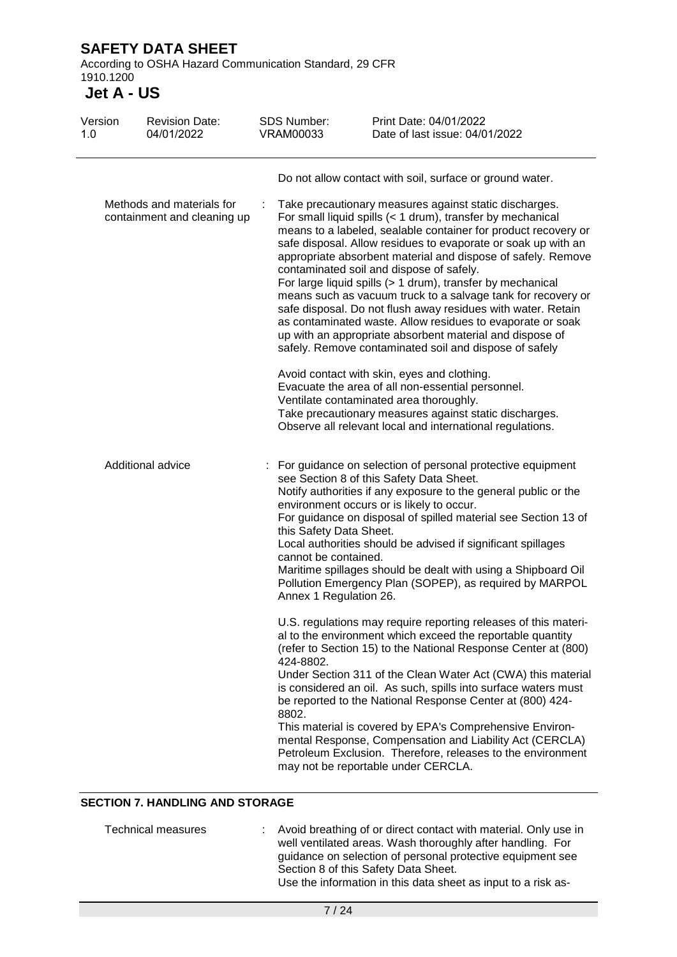According to OSHA Hazard Communication Standard, 29 CFR 1910.1200

**Jet A - US**

| Version<br>1.0                                           | <b>Revision Date:</b><br>04/01/2022 | <b>SDS Number:</b><br><b>VRAM00033</b>                                                                                                                                                                                                                                                                                                                                                                                                                                                                                                                                                                                                                                                                                                                                                                                                                                                                                                                                                                                     | Print Date: 04/01/2022<br>Date of last issue: 04/01/2022                                                                                                                                                                                                                                                                                                                                                                                                                                                                                                                                                                     |
|----------------------------------------------------------|-------------------------------------|----------------------------------------------------------------------------------------------------------------------------------------------------------------------------------------------------------------------------------------------------------------------------------------------------------------------------------------------------------------------------------------------------------------------------------------------------------------------------------------------------------------------------------------------------------------------------------------------------------------------------------------------------------------------------------------------------------------------------------------------------------------------------------------------------------------------------------------------------------------------------------------------------------------------------------------------------------------------------------------------------------------------------|------------------------------------------------------------------------------------------------------------------------------------------------------------------------------------------------------------------------------------------------------------------------------------------------------------------------------------------------------------------------------------------------------------------------------------------------------------------------------------------------------------------------------------------------------------------------------------------------------------------------------|
| Methods and materials for<br>containment and cleaning up |                                     | Do not allow contact with soil, surface or ground water.<br>Take precautionary measures against static discharges.<br>For small liquid spills (< 1 drum), transfer by mechanical<br>means to a labeled, sealable container for product recovery or<br>safe disposal. Allow residues to evaporate or soak up with an<br>appropriate absorbent material and dispose of safely. Remove<br>contaminated soil and dispose of safely.<br>For large liquid spills (> 1 drum), transfer by mechanical<br>means such as vacuum truck to a salvage tank for recovery or<br>safe disposal. Do not flush away residues with water. Retain<br>as contaminated waste. Allow residues to evaporate or soak<br>up with an appropriate absorbent material and dispose of<br>safely. Remove contaminated soil and dispose of safely<br>Avoid contact with skin, eyes and clothing.<br>Evacuate the area of all non-essential personnel.<br>Ventilate contaminated area thoroughly.<br>Take precautionary measures against static discharges. |                                                                                                                                                                                                                                                                                                                                                                                                                                                                                                                                                                                                                              |
| Additional advice                                        |                                     | this Safety Data Sheet.<br>cannot be contained.<br>Annex 1 Regulation 26.                                                                                                                                                                                                                                                                                                                                                                                                                                                                                                                                                                                                                                                                                                                                                                                                                                                                                                                                                  | Observe all relevant local and international regulations.<br>For guidance on selection of personal protective equipment<br>see Section 8 of this Safety Data Sheet.<br>Notify authorities if any exposure to the general public or the<br>environment occurs or is likely to occur.<br>For guidance on disposal of spilled material see Section 13 of<br>Local authorities should be advised if significant spillages<br>Maritime spillages should be dealt with using a Shipboard Oil<br>Pollution Emergency Plan (SOPEP), as required by MARPOL                                                                            |
|                                                          |                                     | 424-8802.<br>8802.                                                                                                                                                                                                                                                                                                                                                                                                                                                                                                                                                                                                                                                                                                                                                                                                                                                                                                                                                                                                         | U.S. regulations may require reporting releases of this materi-<br>al to the environment which exceed the reportable quantity<br>(refer to Section 15) to the National Response Center at (800)<br>Under Section 311 of the Clean Water Act (CWA) this material<br>is considered an oil. As such, spills into surface waters must<br>be reported to the National Response Center at (800) 424-<br>This material is covered by EPA's Comprehensive Environ-<br>mental Response, Compensation and Liability Act (CERCLA)<br>Petroleum Exclusion. Therefore, releases to the environment<br>may not be reportable under CERCLA. |

### **SECTION 7. HANDLING AND STORAGE**

| Technical measures | : Avoid breathing of or direct contact with material. Only use in |
|--------------------|-------------------------------------------------------------------|
|                    | well ventilated areas. Wash thoroughly after handling. For        |
|                    | guidance on selection of personal protective equipment see        |
|                    | Section 8 of this Safety Data Sheet.                              |
|                    | Use the information in this data sheet as input to a risk as-     |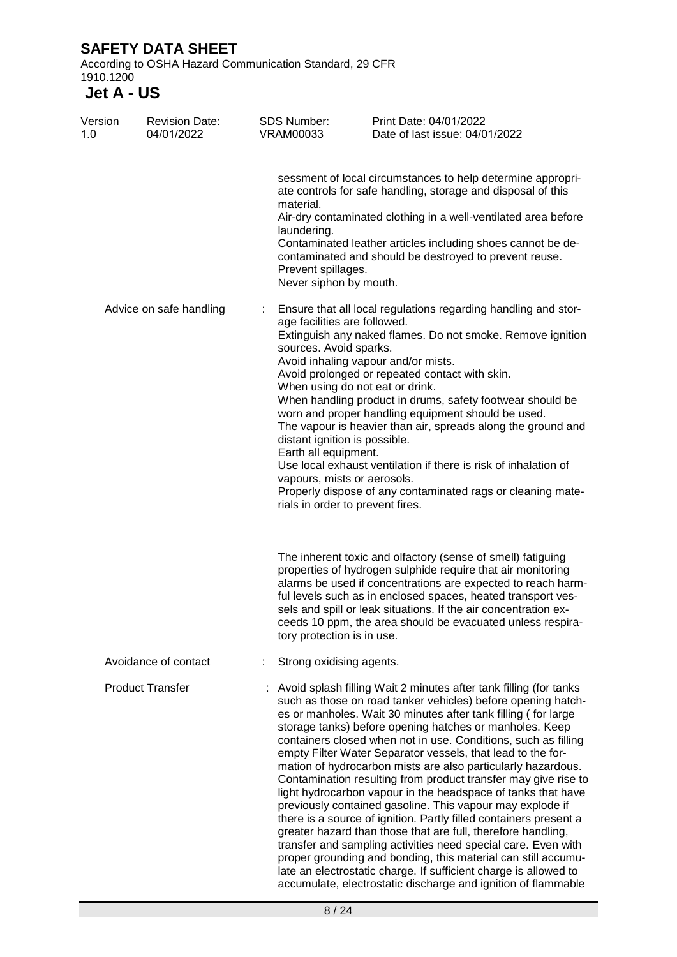According to OSHA Hazard Communication Standard, 29 CFR 1910.1200

| Version<br>1.0 | <b>Revision Date:</b><br>04/01/2022 | <b>SDS Number:</b><br><b>VRAM00033</b>                                                                                                         | Print Date: 04/01/2022<br>Date of last issue: 04/01/2022                                                                                                                                                                                                                                                                                                                                                                                                                                                                                                                                                                                                                                                                                                                                                                                                                                                                                                                                                                                                                  |
|----------------|-------------------------------------|------------------------------------------------------------------------------------------------------------------------------------------------|---------------------------------------------------------------------------------------------------------------------------------------------------------------------------------------------------------------------------------------------------------------------------------------------------------------------------------------------------------------------------------------------------------------------------------------------------------------------------------------------------------------------------------------------------------------------------------------------------------------------------------------------------------------------------------------------------------------------------------------------------------------------------------------------------------------------------------------------------------------------------------------------------------------------------------------------------------------------------------------------------------------------------------------------------------------------------|
|                |                                     | material.<br>laundering.<br>Prevent spillages.<br>Never siphon by mouth.                                                                       | sessment of local circumstances to help determine appropri-<br>ate controls for safe handling, storage and disposal of this<br>Air-dry contaminated clothing in a well-ventilated area before<br>Contaminated leather articles including shoes cannot be de-<br>contaminated and should be destroyed to prevent reuse.                                                                                                                                                                                                                                                                                                                                                                                                                                                                                                                                                                                                                                                                                                                                                    |
|                | Advice on safe handling             | age facilities are followed.<br>sources. Avoid sparks.<br>distant ignition is possible.<br>Earth all equipment.<br>vapours, mists or aerosols. | Ensure that all local regulations regarding handling and stor-<br>Extinguish any naked flames. Do not smoke. Remove ignition<br>Avoid inhaling vapour and/or mists.<br>Avoid prolonged or repeated contact with skin.<br>When using do not eat or drink.<br>When handling product in drums, safety footwear should be<br>worn and proper handling equipment should be used.<br>The vapour is heavier than air, spreads along the ground and<br>Use local exhaust ventilation if there is risk of inhalation of<br>Properly dispose of any contaminated rags or cleaning mate-<br>rials in order to prevent fires.                                                                                                                                                                                                                                                                                                                                                                                                                                                         |
|                |                                     | tory protection is in use.                                                                                                                     | The inherent toxic and olfactory (sense of smell) fatiguing<br>properties of hydrogen sulphide require that air monitoring<br>alarms be used if concentrations are expected to reach harm-<br>ful levels such as in enclosed spaces, heated transport ves-<br>sels and spill or leak situations. If the air concentration ex-<br>ceeds 10 ppm, the area should be evacuated unless respira-                                                                                                                                                                                                                                                                                                                                                                                                                                                                                                                                                                                                                                                                               |
|                | Avoidance of contact                | Strong oxidising agents.                                                                                                                       |                                                                                                                                                                                                                                                                                                                                                                                                                                                                                                                                                                                                                                                                                                                                                                                                                                                                                                                                                                                                                                                                           |
|                | <b>Product Transfer</b>             |                                                                                                                                                | Avoid splash filling Wait 2 minutes after tank filling (for tanks<br>such as those on road tanker vehicles) before opening hatch-<br>es or manholes. Wait 30 minutes after tank filling (for large<br>storage tanks) before opening hatches or manholes. Keep<br>containers closed when not in use. Conditions, such as filling<br>empty Filter Water Separator vessels, that lead to the for-<br>mation of hydrocarbon mists are also particularly hazardous.<br>Contamination resulting from product transfer may give rise to<br>light hydrocarbon vapour in the headspace of tanks that have<br>previously contained gasoline. This vapour may explode if<br>there is a source of ignition. Partly filled containers present a<br>greater hazard than those that are full, therefore handling,<br>transfer and sampling activities need special care. Even with<br>proper grounding and bonding, this material can still accumu-<br>late an electrostatic charge. If sufficient charge is allowed to<br>accumulate, electrostatic discharge and ignition of flammable |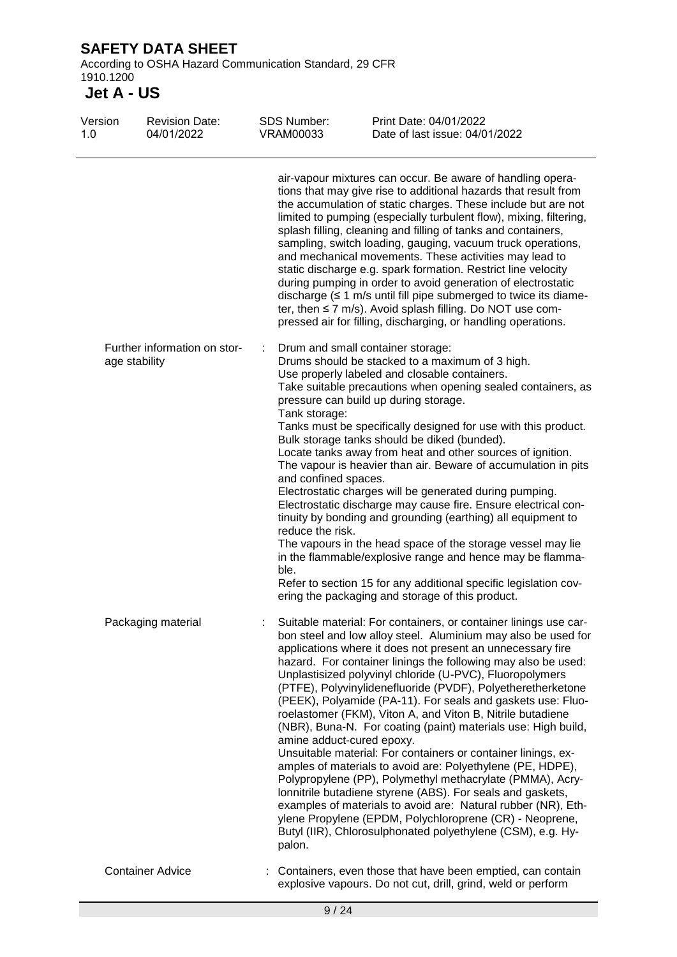According to OSHA Hazard Communication Standard, 29 CFR 1910.1200

| Version<br>1.0 | <b>Revision Date:</b><br>04/01/2022           | <b>SDS Number:</b><br><b>VRAM00033</b>                            | Print Date: 04/01/2022<br>Date of last issue: 04/01/2022                                                                                                                                                                                                                                                                                                                                                                                                                                                                                                                                                                                                                                                                                                                                                                                                                                                                                                                                                                                       |
|----------------|-----------------------------------------------|-------------------------------------------------------------------|------------------------------------------------------------------------------------------------------------------------------------------------------------------------------------------------------------------------------------------------------------------------------------------------------------------------------------------------------------------------------------------------------------------------------------------------------------------------------------------------------------------------------------------------------------------------------------------------------------------------------------------------------------------------------------------------------------------------------------------------------------------------------------------------------------------------------------------------------------------------------------------------------------------------------------------------------------------------------------------------------------------------------------------------|
|                |                                               |                                                                   | air-vapour mixtures can occur. Be aware of handling opera-<br>tions that may give rise to additional hazards that result from<br>the accumulation of static charges. These include but are not<br>limited to pumping (especially turbulent flow), mixing, filtering,<br>splash filling, cleaning and filling of tanks and containers,<br>sampling, switch loading, gauging, vacuum truck operations,<br>and mechanical movements. These activities may lead to<br>static discharge e.g. spark formation. Restrict line velocity<br>during pumping in order to avoid generation of electrostatic<br>discharge $(≤ 1$ m/s until fill pipe submerged to twice its diame-<br>ter, then $\leq$ 7 m/s). Avoid splash filling. Do NOT use com-<br>pressed air for filling, discharging, or handling operations.                                                                                                                                                                                                                                       |
|                | Further information on stor-<br>age stability | Tank storage:<br>and confined spaces.<br>reduce the risk.<br>ble. | Drum and small container storage:<br>Drums should be stacked to a maximum of 3 high.<br>Use properly labeled and closable containers.<br>Take suitable precautions when opening sealed containers, as<br>pressure can build up during storage.<br>Tanks must be specifically designed for use with this product.<br>Bulk storage tanks should be diked (bunded).<br>Locate tanks away from heat and other sources of ignition.<br>The vapour is heavier than air. Beware of accumulation in pits<br>Electrostatic charges will be generated during pumping.<br>Electrostatic discharge may cause fire. Ensure electrical con-<br>tinuity by bonding and grounding (earthing) all equipment to<br>The vapours in the head space of the storage vessel may lie<br>in the flammable/explosive range and hence may be flamma-<br>Refer to section 15 for any additional specific legislation cov-<br>ering the packaging and storage of this product.                                                                                              |
|                | Packaging material                            | amine adduct-cured epoxy.<br>palon.                               | Suitable material: For containers, or container linings use car-<br>bon steel and low alloy steel. Aluminium may also be used for<br>applications where it does not present an unnecessary fire<br>hazard. For container linings the following may also be used:<br>Unplastisized polyvinyl chloride (U-PVC), Fluoropolymers<br>(PTFE), Polyvinylidenefluoride (PVDF), Polyetheretherketone<br>(PEEK), Polyamide (PA-11). For seals and gaskets use: Fluo-<br>roelastomer (FKM), Viton A, and Viton B, Nitrile butadiene<br>(NBR), Buna-N. For coating (paint) materials use: High build,<br>Unsuitable material: For containers or container linings, ex-<br>amples of materials to avoid are: Polyethylene (PE, HDPE),<br>Polypropylene (PP), Polymethyl methacrylate (PMMA), Acry-<br>lonnitrile butadiene styrene (ABS). For seals and gaskets,<br>examples of materials to avoid are: Natural rubber (NR), Eth-<br>ylene Propylene (EPDM, Polychloroprene (CR) - Neoprene,<br>Butyl (IIR), Chlorosulphonated polyethylene (CSM), e.g. Hy- |
|                | <b>Container Advice</b>                       |                                                                   | Containers, even those that have been emptied, can contain<br>explosive vapours. Do not cut, drill, grind, weld or perform                                                                                                                                                                                                                                                                                                                                                                                                                                                                                                                                                                                                                                                                                                                                                                                                                                                                                                                     |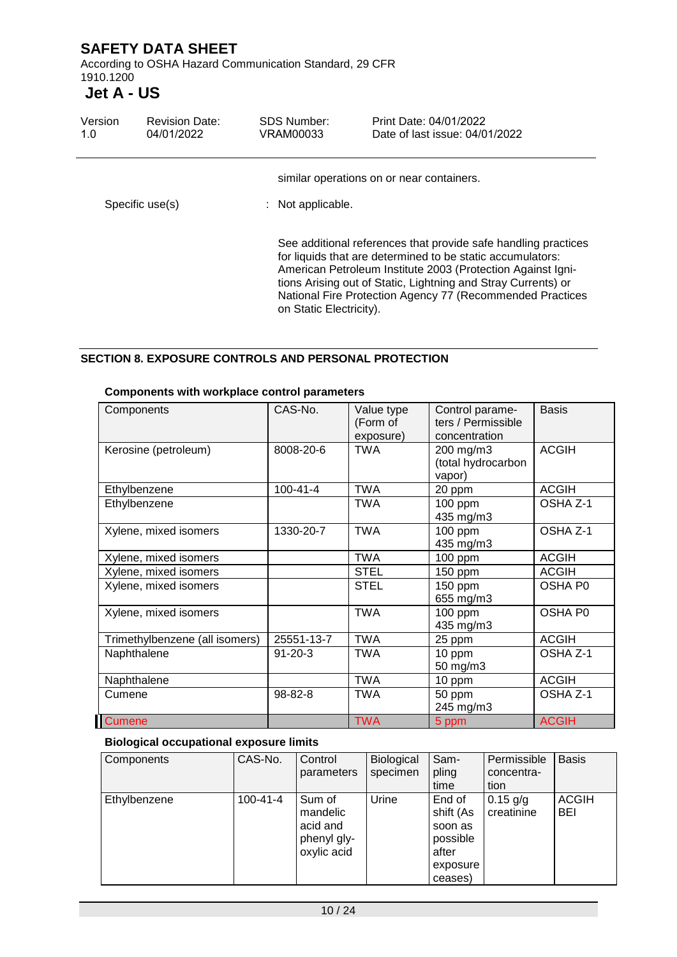According to OSHA Hazard Communication Standard, 29 CFR 1910.1200

# **Jet A - US**

| Version<br>1.0  | <b>Revision Date:</b><br>04/01/2022 | <b>SDS Number:</b><br>VRAM00033 | Print Date: 04/01/2022<br>Date of last issue: 04/01/2022                                                                                                                                                                                                                                                                  |
|-----------------|-------------------------------------|---------------------------------|---------------------------------------------------------------------------------------------------------------------------------------------------------------------------------------------------------------------------------------------------------------------------------------------------------------------------|
| Specific use(s) |                                     | : Not applicable.               | similar operations on or near containers.                                                                                                                                                                                                                                                                                 |
|                 |                                     | on Static Electricity).         | See additional references that provide safe handling practices<br>for liquids that are determined to be static accumulators:<br>American Petroleum Institute 2003 (Protection Against Igni-<br>tions Arising out of Static, Lightning and Stray Currents) or<br>National Fire Protection Agency 77 (Recommended Practices |

#### **SECTION 8. EXPOSURE CONTROLS AND PERSONAL PROTECTION**

| Components                     | CAS-No.        | Value type<br>(Form of<br>exposure) | Control parame-<br>ters / Permissible<br>concentration | <b>Basis</b> |
|--------------------------------|----------------|-------------------------------------|--------------------------------------------------------|--------------|
| Kerosine (petroleum)           | 8008-20-6      | <b>TWA</b>                          | 200 mg/m3<br>(total hydrocarbon<br>vapor)              | <b>ACGIH</b> |
| Ethylbenzene                   | $100 - 41 - 4$ | <b>TWA</b>                          | 20 ppm                                                 | <b>ACGIH</b> |
| Ethylbenzene                   |                | <b>TWA</b>                          | 100 ppm<br>435 mg/m3                                   | OSHA Z-1     |
| Xylene, mixed isomers          | 1330-20-7      | <b>TWA</b>                          | $100$ ppm<br>435 mg/m3                                 | OSHA Z-1     |
| Xylene, mixed isomers          |                | <b>TWA</b>                          | $100$ ppm                                              | <b>ACGIH</b> |
| Xylene, mixed isomers          |                | <b>STEL</b>                         | 150 ppm                                                | <b>ACGIH</b> |
| Xylene, mixed isomers          |                | <b>STEL</b>                         | 150 ppm<br>655 mg/m3                                   | OSHA P0      |
| Xylene, mixed isomers          |                | <b>TWA</b>                          | 100 ppm<br>435 mg/m3                                   | OSHA P0      |
| Trimethylbenzene (all isomers) | 25551-13-7     | <b>TWA</b>                          | 25 ppm                                                 | <b>ACGIH</b> |
| Naphthalene                    | $91 - 20 - 3$  | <b>TWA</b>                          | 10 ppm<br>50 mg/m3                                     | OSHA Z-1     |
| Naphthalene                    |                | <b>TWA</b>                          | 10 ppm                                                 | <b>ACGIH</b> |
| Cumene                         | 98-82-8        | <b>TWA</b>                          | 50 ppm<br>245 mg/m3                                    | OSHA Z-1     |
| <b>Cumene</b>                  |                | <b>TWA</b>                          | 5 ppm                                                  | <b>ACGIH</b> |

#### **Components with workplace control parameters**

#### **Biological occupational exposure limits**

| Components   | CAS-No.        | Control<br>parameters                                        | Biological<br>specimen | Sam-<br>pling<br>time                                                      | Permissible<br>concentra-<br>tion | <b>Basis</b>               |
|--------------|----------------|--------------------------------------------------------------|------------------------|----------------------------------------------------------------------------|-----------------------------------|----------------------------|
| Ethylbenzene | $100 - 41 - 4$ | Sum of<br>mandelic<br>acid and<br>phenyl gly-<br>oxylic acid | Urine                  | End of<br>shift (As<br>soon as<br>possible<br>after<br>exposure<br>ceases) | $0.15$ g/g<br>creatinine          | <b>ACGIH</b><br><b>BEI</b> |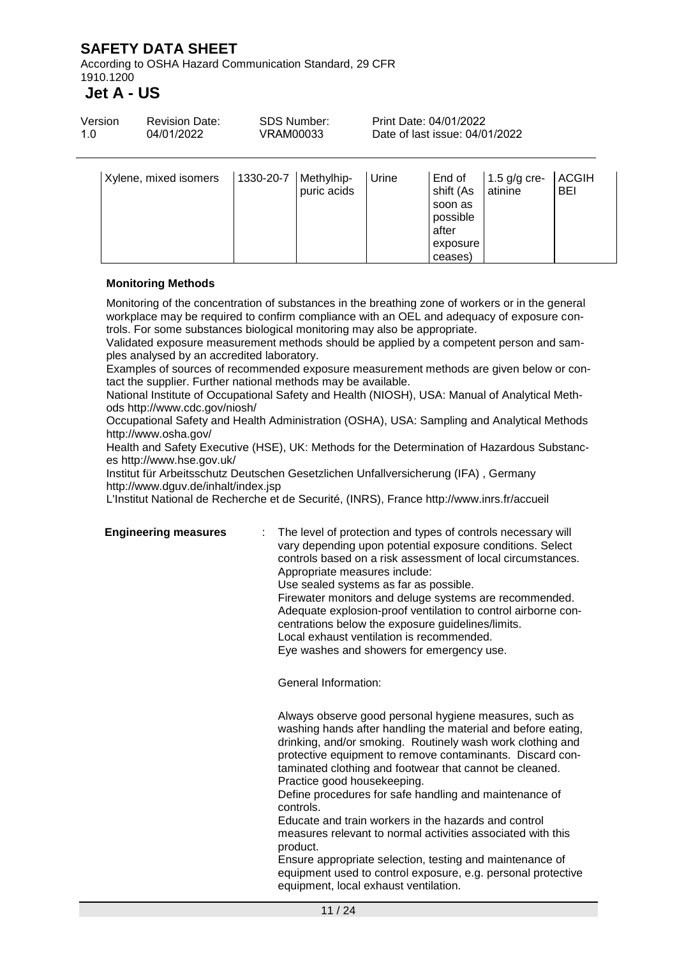According to OSHA Hazard Communication Standard, 29 CFR 1910.1200

### **Jet A - US**

| Version | <b>Revision Date:</b> | SDS Number: | Print Date: 04/01/2022         |
|---------|-----------------------|-------------|--------------------------------|
| 1.0     | 04/01/2022            | VRAM00033   | Date of last issue: 04/01/2022 |
|         |                       |             |                                |

| Xylene, mixed isomers | 1330-20-7 | Methylhip-<br>puric acids | Urine | End of<br>shift (As<br>soon as<br>possible | 1.5 $g/g$ cre-<br>atinine | <b>ACGIH</b><br><b>BEI</b> |
|-----------------------|-----------|---------------------------|-------|--------------------------------------------|---------------------------|----------------------------|
|                       |           |                           |       | after                                      |                           |                            |
|                       |           |                           |       | exposure                                   |                           |                            |
|                       |           |                           |       | ceases)                                    |                           |                            |

#### **Monitoring Methods**

Monitoring of the concentration of substances in the breathing zone of workers or in the general workplace may be required to confirm compliance with an OEL and adequacy of exposure controls. For some substances biological monitoring may also be appropriate.

Validated exposure measurement methods should be applied by a competent person and samples analysed by an accredited laboratory.

Examples of sources of recommended exposure measurement methods are given below or contact the supplier. Further national methods may be available.

National Institute of Occupational Safety and Health (NIOSH), USA: Manual of Analytical Methods http://www.cdc.gov/niosh/

Occupational Safety and Health Administration (OSHA), USA: Sampling and Analytical Methods http://www.osha.gov/

Health and Safety Executive (HSE), UK: Methods for the Determination of Hazardous Substances http://www.hse.gov.uk/

Institut für Arbeitsschutz Deutschen Gesetzlichen Unfallversicherung (IFA) , Germany http://www.dguv.de/inhalt/index.jsp

L'Institut National de Recherche et de Securité, (INRS), France http://www.inrs.fr/accueil

**Engineering measures** : The level of protection and types of controls necessary will vary depending upon potential exposure conditions. Select controls based on a risk assessment of local circumstances. Appropriate measures include: Use sealed systems as far as possible. Firewater monitors and deluge systems are recommended. Adequate explosion-proof ventilation to control airborne con-

centrations below the exposure guidelines/limits.

Local exhaust ventilation is recommended.

Eye washes and showers for emergency use.

General Information:

Always observe good personal hygiene measures, such as washing hands after handling the material and before eating, drinking, and/or smoking. Routinely wash work clothing and protective equipment to remove contaminants. Discard contaminated clothing and footwear that cannot be cleaned. Practice good housekeeping.

Define procedures for safe handling and maintenance of controls.

Educate and train workers in the hazards and control measures relevant to normal activities associated with this product.

Ensure appropriate selection, testing and maintenance of equipment used to control exposure, e.g. personal protective equipment, local exhaust ventilation.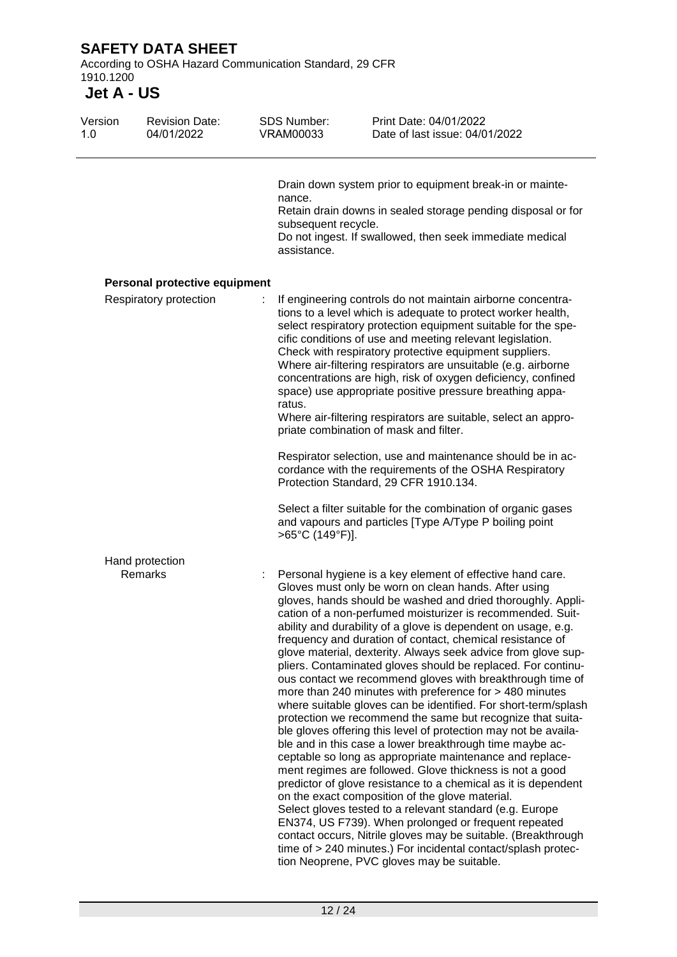According to OSHA Hazard Communication Standard, 29 CFR 1910.1200

| Version<br>1.0 | <b>Revision Date:</b><br>04/01/2022 | <b>SDS Number:</b><br><b>VRAM00033</b>       | Print Date: 04/01/2022<br>Date of last issue: 04/01/2022                                                                                                                                                                                                                                                                                                                                                                                                                                                                                                                                                                                                                                                                                                                                                                                                                                                                                                                                                                                                                                                                                                                                                                                                                                                                                                                                                                                              |
|----------------|-------------------------------------|----------------------------------------------|-------------------------------------------------------------------------------------------------------------------------------------------------------------------------------------------------------------------------------------------------------------------------------------------------------------------------------------------------------------------------------------------------------------------------------------------------------------------------------------------------------------------------------------------------------------------------------------------------------------------------------------------------------------------------------------------------------------------------------------------------------------------------------------------------------------------------------------------------------------------------------------------------------------------------------------------------------------------------------------------------------------------------------------------------------------------------------------------------------------------------------------------------------------------------------------------------------------------------------------------------------------------------------------------------------------------------------------------------------------------------------------------------------------------------------------------------------|
|                |                                     | nance.<br>subsequent recycle.<br>assistance. | Drain down system prior to equipment break-in or mainte-<br>Retain drain downs in sealed storage pending disposal or for<br>Do not ingest. If swallowed, then seek immediate medical                                                                                                                                                                                                                                                                                                                                                                                                                                                                                                                                                                                                                                                                                                                                                                                                                                                                                                                                                                                                                                                                                                                                                                                                                                                                  |
|                | Personal protective equipment       |                                              |                                                                                                                                                                                                                                                                                                                                                                                                                                                                                                                                                                                                                                                                                                                                                                                                                                                                                                                                                                                                                                                                                                                                                                                                                                                                                                                                                                                                                                                       |
|                | Respiratory protection              | ratus.                                       | If engineering controls do not maintain airborne concentra-<br>tions to a level which is adequate to protect worker health,<br>select respiratory protection equipment suitable for the spe-<br>cific conditions of use and meeting relevant legislation.<br>Check with respiratory protective equipment suppliers.<br>Where air-filtering respirators are unsuitable (e.g. airborne<br>concentrations are high, risk of oxygen deficiency, confined<br>space) use appropriate positive pressure breathing appa-<br>Where air-filtering respirators are suitable, select an appro-<br>priate combination of mask and filter.                                                                                                                                                                                                                                                                                                                                                                                                                                                                                                                                                                                                                                                                                                                                                                                                                          |
|                |                                     |                                              | Respirator selection, use and maintenance should be in ac-<br>cordance with the requirements of the OSHA Respiratory<br>Protection Standard, 29 CFR 1910.134.                                                                                                                                                                                                                                                                                                                                                                                                                                                                                                                                                                                                                                                                                                                                                                                                                                                                                                                                                                                                                                                                                                                                                                                                                                                                                         |
|                |                                     | >65°C (149°F)].                              | Select a filter suitable for the combination of organic gases<br>and vapours and particles [Type A/Type P boiling point                                                                                                                                                                                                                                                                                                                                                                                                                                                                                                                                                                                                                                                                                                                                                                                                                                                                                                                                                                                                                                                                                                                                                                                                                                                                                                                               |
|                | Hand protection                     |                                              |                                                                                                                                                                                                                                                                                                                                                                                                                                                                                                                                                                                                                                                                                                                                                                                                                                                                                                                                                                                                                                                                                                                                                                                                                                                                                                                                                                                                                                                       |
|                | Remarks                             |                                              | Personal hygiene is a key element of effective hand care.<br>Gloves must only be worn on clean hands. After using<br>gloves, hands should be washed and dried thoroughly. Appli-<br>cation of a non-perfumed moisturizer is recommended. Suit-<br>ability and durability of a glove is dependent on usage, e.g.<br>frequency and duration of contact, chemical resistance of<br>glove material, dexterity. Always seek advice from glove sup-<br>pliers. Contaminated gloves should be replaced. For continu-<br>ous contact we recommend gloves with breakthrough time of<br>more than 240 minutes with preference for > 480 minutes<br>where suitable gloves can be identified. For short-term/splash<br>protection we recommend the same but recognize that suita-<br>ble gloves offering this level of protection may not be availa-<br>ble and in this case a lower breakthrough time maybe ac-<br>ceptable so long as appropriate maintenance and replace-<br>ment regimes are followed. Glove thickness is not a good<br>predictor of glove resistance to a chemical as it is dependent<br>on the exact composition of the glove material.<br>Select gloves tested to a relevant standard (e.g. Europe<br>EN374, US F739). When prolonged or frequent repeated<br>contact occurs, Nitrile gloves may be suitable. (Breakthrough<br>time of > 240 minutes.) For incidental contact/splash protec-<br>tion Neoprene, PVC gloves may be suitable. |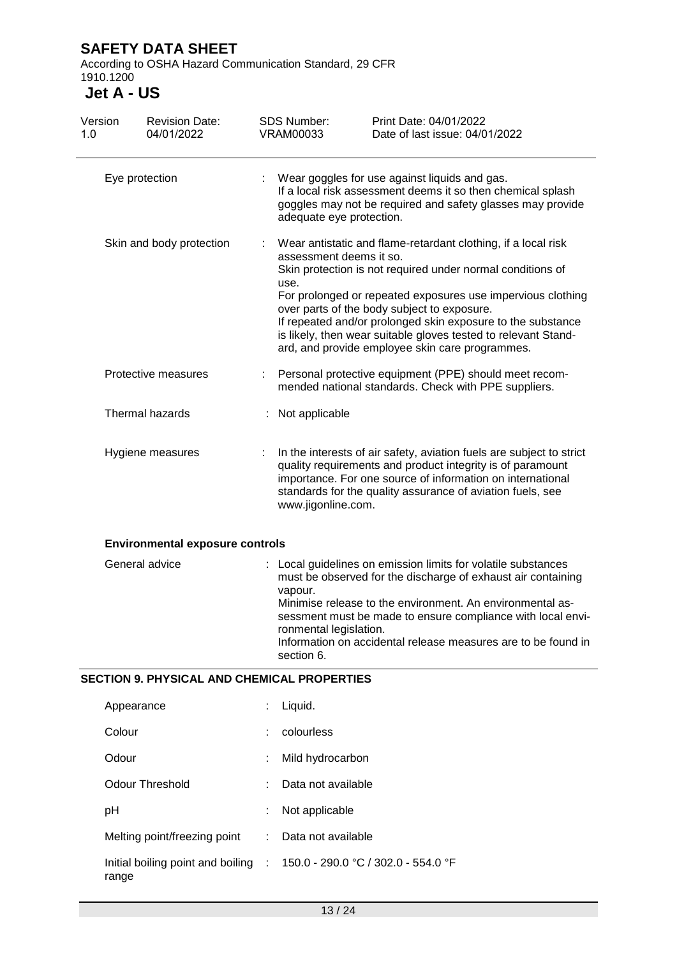According to OSHA Hazard Communication Standard, 29 CFR 1910.1200

**Jet A - US**

| Version<br>1.0 | <b>Revision Date:</b><br>04/01/2022                |                                                                                                                                                                                                                                                                                      | <b>SDS Number:</b><br><b>VRAM00033</b>                                                                                                                                                                                                                                                                                                                                                                                                                           | Print Date: 04/01/2022<br>Date of last issue: 04/01/2022                                                                                                                                                                                                                                                                   |
|----------------|----------------------------------------------------|--------------------------------------------------------------------------------------------------------------------------------------------------------------------------------------------------------------------------------------------------------------------------------------|------------------------------------------------------------------------------------------------------------------------------------------------------------------------------------------------------------------------------------------------------------------------------------------------------------------------------------------------------------------------------------------------------------------------------------------------------------------|----------------------------------------------------------------------------------------------------------------------------------------------------------------------------------------------------------------------------------------------------------------------------------------------------------------------------|
|                | Eye protection                                     |                                                                                                                                                                                                                                                                                      | adequate eye protection.                                                                                                                                                                                                                                                                                                                                                                                                                                         | Wear goggles for use against liquids and gas.<br>If a local risk assessment deems it so then chemical splash<br>goggles may not be required and safety glasses may provide                                                                                                                                                 |
|                | Skin and body protection                           |                                                                                                                                                                                                                                                                                      | Wear antistatic and flame-retardant clothing, if a local risk<br>assessment deems it so.<br>Skin protection is not required under normal conditions of<br>use.<br>For prolonged or repeated exposures use impervious clothing<br>over parts of the body subject to exposure.<br>If repeated and/or prolonged skin exposure to the substance<br>is likely, then wear suitable gloves tested to relevant Stand-<br>ard, and provide employee skin care programmes. |                                                                                                                                                                                                                                                                                                                            |
|                | Protective measures                                | t.                                                                                                                                                                                                                                                                                   |                                                                                                                                                                                                                                                                                                                                                                                                                                                                  | Personal protective equipment (PPE) should meet recom-<br>mended national standards. Check with PPE suppliers.                                                                                                                                                                                                             |
|                | Thermal hazards                                    |                                                                                                                                                                                                                                                                                      | Not applicable                                                                                                                                                                                                                                                                                                                                                                                                                                                   |                                                                                                                                                                                                                                                                                                                            |
|                | Hygiene measures                                   | In the interests of air safety, aviation fuels are subject to strict<br>quality requirements and product integrity is of paramount<br>importance. For one source of information on international<br>standards for the quality assurance of aviation fuels, see<br>www.jigonline.com. |                                                                                                                                                                                                                                                                                                                                                                                                                                                                  |                                                                                                                                                                                                                                                                                                                            |
|                | <b>Environmental exposure controls</b>             |                                                                                                                                                                                                                                                                                      |                                                                                                                                                                                                                                                                                                                                                                                                                                                                  |                                                                                                                                                                                                                                                                                                                            |
|                | General advice                                     |                                                                                                                                                                                                                                                                                      | vapour.<br>ronmental legislation.<br>section 6.                                                                                                                                                                                                                                                                                                                                                                                                                  | : Local guidelines on emission limits for volatile substances<br>must be observed for the discharge of exhaust air containing<br>Minimise release to the environment. An environmental as-<br>sessment must be made to ensure compliance with local envi-<br>Information on accidental release measures are to be found in |
|                | <b>SECTION 9. PHYSICAL AND CHEMICAL PROPERTIES</b> |                                                                                                                                                                                                                                                                                      |                                                                                                                                                                                                                                                                                                                                                                                                                                                                  |                                                                                                                                                                                                                                                                                                                            |
|                | Appearance                                         |                                                                                                                                                                                                                                                                                      | Liquid.                                                                                                                                                                                                                                                                                                                                                                                                                                                          |                                                                                                                                                                                                                                                                                                                            |
|                | Colour                                             |                                                                                                                                                                                                                                                                                      | colourless                                                                                                                                                                                                                                                                                                                                                                                                                                                       |                                                                                                                                                                                                                                                                                                                            |
|                | Odour                                              |                                                                                                                                                                                                                                                                                      | Mild hydrocarbon                                                                                                                                                                                                                                                                                                                                                                                                                                                 |                                                                                                                                                                                                                                                                                                                            |
|                | <b>Odour Threshold</b>                             |                                                                                                                                                                                                                                                                                      | Data not available                                                                                                                                                                                                                                                                                                                                                                                                                                               |                                                                                                                                                                                                                                                                                                                            |
|                | pH                                                 |                                                                                                                                                                                                                                                                                      | Not applicable                                                                                                                                                                                                                                                                                                                                                                                                                                                   |                                                                                                                                                                                                                                                                                                                            |

Melting point/freezing point : Data not available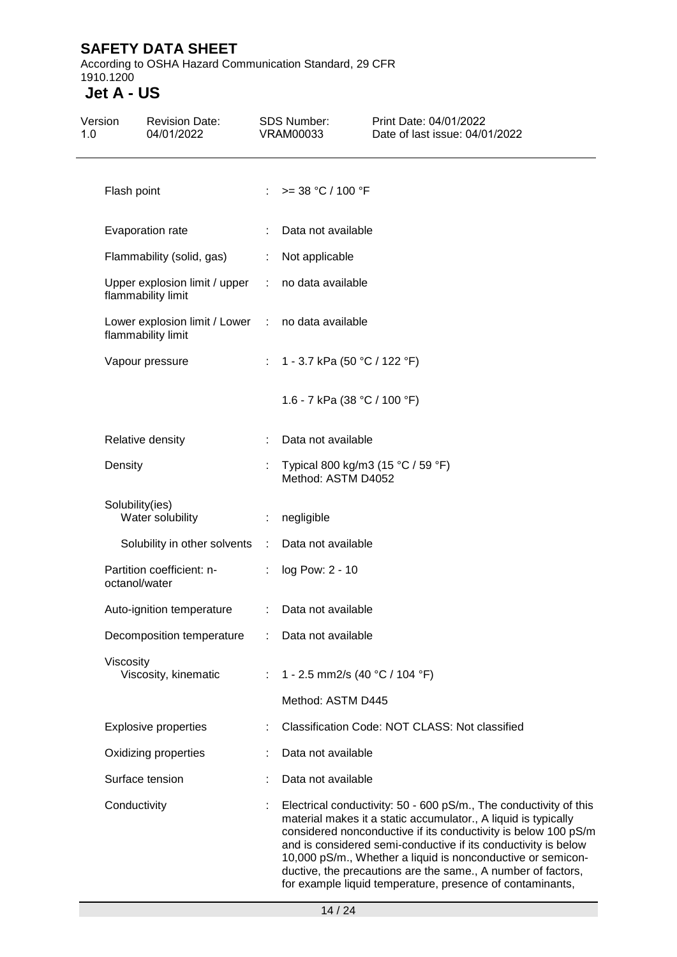According to OSHA Hazard Communication Standard, 29 CFR 1910.1200

| Version<br>1.0 | <b>Revision Date:</b><br>04/01/2022                                     |                       | <b>SDS Number:</b><br><b>VRAM00033</b>                                                                                                                                                                                                                                                                                                                                                                                                                              | Print Date: 04/01/2022<br>Date of last issue: 04/01/2022 |  |  |  |
|----------------|-------------------------------------------------------------------------|-----------------------|---------------------------------------------------------------------------------------------------------------------------------------------------------------------------------------------------------------------------------------------------------------------------------------------------------------------------------------------------------------------------------------------------------------------------------------------------------------------|----------------------------------------------------------|--|--|--|
|                | Flash point                                                             |                       | : $> = 38 °C / 100 °F$                                                                                                                                                                                                                                                                                                                                                                                                                                              |                                                          |  |  |  |
|                | Evaporation rate                                                        |                       | Data not available                                                                                                                                                                                                                                                                                                                                                                                                                                                  |                                                          |  |  |  |
|                | Flammability (solid, gas)                                               | ÷                     | Not applicable                                                                                                                                                                                                                                                                                                                                                                                                                                                      |                                                          |  |  |  |
|                | Upper explosion limit / upper<br>flammability limit                     |                       | : no data available                                                                                                                                                                                                                                                                                                                                                                                                                                                 |                                                          |  |  |  |
|                | Lower explosion limit / Lower : no data available<br>flammability limit |                       |                                                                                                                                                                                                                                                                                                                                                                                                                                                                     |                                                          |  |  |  |
|                | Vapour pressure                                                         |                       | : 1 - 3.7 kPa (50 °C / 122 °F)                                                                                                                                                                                                                                                                                                                                                                                                                                      |                                                          |  |  |  |
|                |                                                                         |                       | 1.6 - 7 kPa (38 °C / 100 °F)                                                                                                                                                                                                                                                                                                                                                                                                                                        |                                                          |  |  |  |
|                | Relative density                                                        |                       | Data not available                                                                                                                                                                                                                                                                                                                                                                                                                                                  |                                                          |  |  |  |
|                | Density                                                                 |                       | Typical 800 kg/m3 (15 °C / 59 °F)<br>Method: ASTM D4052                                                                                                                                                                                                                                                                                                                                                                                                             |                                                          |  |  |  |
|                | Solubility(ies)<br>Water solubility                                     | $\mathbb{Z}^{\times}$ | negligible                                                                                                                                                                                                                                                                                                                                                                                                                                                          |                                                          |  |  |  |
|                | Solubility in other solvents :                                          |                       | Data not available                                                                                                                                                                                                                                                                                                                                                                                                                                                  |                                                          |  |  |  |
|                | Partition coefficient: n-<br>octanol/water                              | ÷.                    | log Pow: 2 - 10                                                                                                                                                                                                                                                                                                                                                                                                                                                     |                                                          |  |  |  |
|                | Auto-ignition temperature                                               |                       | : Data not available                                                                                                                                                                                                                                                                                                                                                                                                                                                |                                                          |  |  |  |
|                | Decomposition temperature                                               |                       | Data not available                                                                                                                                                                                                                                                                                                                                                                                                                                                  |                                                          |  |  |  |
|                | Viscosity<br>Viscosity, kinematic                                       | ÷.                    | 1 - 2.5 mm2/s (40 °C / 104 °F)                                                                                                                                                                                                                                                                                                                                                                                                                                      |                                                          |  |  |  |
|                |                                                                         |                       | Method: ASTM D445                                                                                                                                                                                                                                                                                                                                                                                                                                                   |                                                          |  |  |  |
|                | <b>Explosive properties</b>                                             |                       |                                                                                                                                                                                                                                                                                                                                                                                                                                                                     | Classification Code: NOT CLASS: Not classified           |  |  |  |
|                | Oxidizing properties                                                    |                       | Data not available                                                                                                                                                                                                                                                                                                                                                                                                                                                  |                                                          |  |  |  |
|                | Surface tension                                                         |                       | Data not available                                                                                                                                                                                                                                                                                                                                                                                                                                                  |                                                          |  |  |  |
|                | Conductivity                                                            |                       | Electrical conductivity: 50 - 600 pS/m., The conductivity of this<br>material makes it a static accumulator., A liquid is typically<br>considered nonconductive if its conductivity is below 100 pS/m<br>and is considered semi-conductive if its conductivity is below<br>10,000 pS/m., Whether a liquid is nonconductive or semicon-<br>ductive, the precautions are the same., A number of factors,<br>for example liquid temperature, presence of contaminants, |                                                          |  |  |  |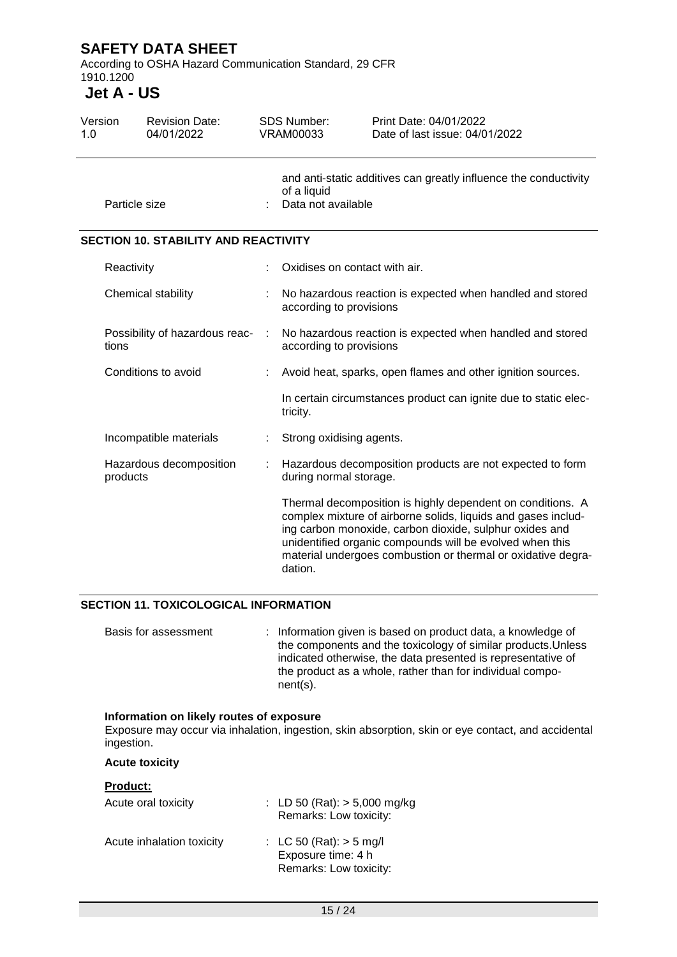According to OSHA Hazard Communication Standard, 29 CFR 1910.1200

### **Jet A - US**

| Version<br>1.0 |               | <b>Revision Date:</b><br>04/01/2022         |           | <b>SDS Number:</b><br>Print Date: 04/01/2022<br><b>VRAM00033</b><br>Date of last issue: 04/01/2022    |                                                                                                                                                                                                                                                                                                                    |  |
|----------------|---------------|---------------------------------------------|-----------|-------------------------------------------------------------------------------------------------------|--------------------------------------------------------------------------------------------------------------------------------------------------------------------------------------------------------------------------------------------------------------------------------------------------------------------|--|
|                | Particle size |                                             |           | and anti-static additives can greatly influence the conductivity<br>of a liquid<br>Data not available |                                                                                                                                                                                                                                                                                                                    |  |
|                |               | <b>SECTION 10. STABILITY AND REACTIVITY</b> |           |                                                                                                       |                                                                                                                                                                                                                                                                                                                    |  |
|                | Reactivity    |                                             |           | Oxidises on contact with air.                                                                         |                                                                                                                                                                                                                                                                                                                    |  |
|                |               | Chemical stability                          |           | No hazardous reaction is expected when handled and stored<br>according to provisions                  |                                                                                                                                                                                                                                                                                                                    |  |
|                | tions         | Possibility of hazardous reac-              | $\sim$ 1. | No hazardous reaction is expected when handled and stored<br>according to provisions                  |                                                                                                                                                                                                                                                                                                                    |  |
|                |               | Conditions to avoid                         |           |                                                                                                       | Avoid heat, sparks, open flames and other ignition sources.                                                                                                                                                                                                                                                        |  |
|                |               |                                             |           | tricity.                                                                                              | In certain circumstances product can ignite due to static elec-                                                                                                                                                                                                                                                    |  |
|                |               | Incompatible materials                      |           | Strong oxidising agents.                                                                              |                                                                                                                                                                                                                                                                                                                    |  |
|                | products      | Hazardous decomposition                     |           | during normal storage.                                                                                | Hazardous decomposition products are not expected to form                                                                                                                                                                                                                                                          |  |
|                |               |                                             |           | dation.                                                                                               | Thermal decomposition is highly dependent on conditions. A<br>complex mixture of airborne solids, liquids and gases includ-<br>ing carbon monoxide, carbon dioxide, sulphur oxides and<br>unidentified organic compounds will be evolved when this<br>material undergoes combustion or thermal or oxidative degra- |  |

#### **SECTION 11. TOXICOLOGICAL INFORMATION**

Basis for assessment : Information given is based on product data, a knowledge of the components and the toxicology of similar products.Unless indicated otherwise, the data presented is representative of the product as a whole, rather than for individual component(s).

#### **Information on likely routes of exposure**

Exposure may occur via inhalation, ingestion, skin absorption, skin or eye contact, and accidental ingestion.

#### **Acute toxicity**

### **Product:** Acute oral toxicity : LD 50 (Rat): > 5,000 mg/kg Remarks: Low toxicity: Acute inhalation toxicity : LC 50 (Rat): > 5 mg/l Exposure time: 4 h Remarks: Low toxicity: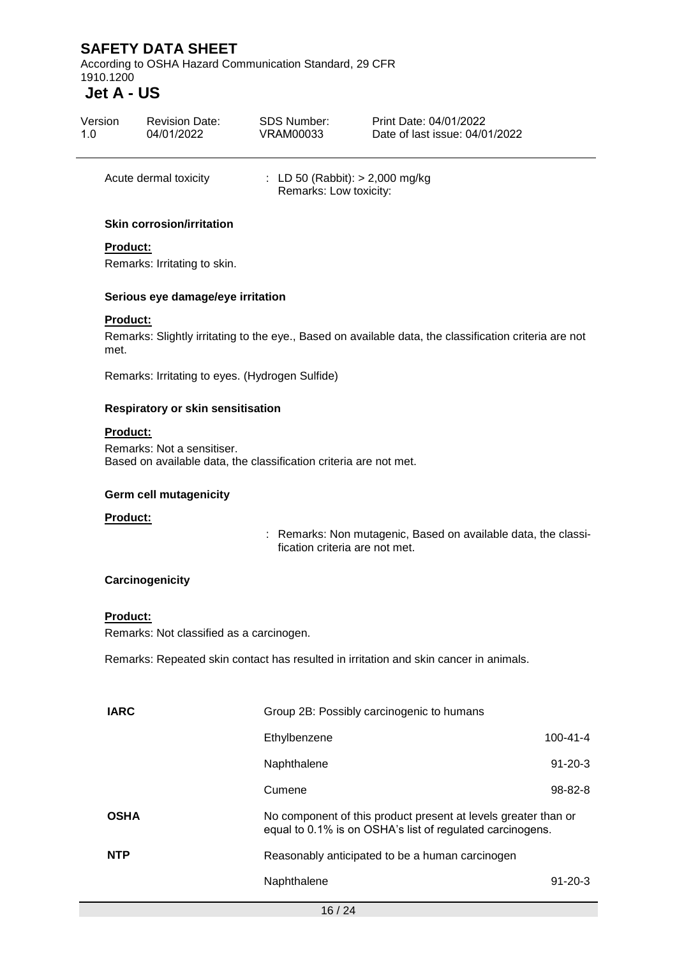According to OSHA Hazard Communication Standard, 29 CFR 1910.1200

# **Jet A - US**

| Version               | <b>Revision Date:</b> | SDS Number:                                                 | Print Date: 04/01/2022         |
|-----------------------|-----------------------|-------------------------------------------------------------|--------------------------------|
| 1.0                   | 04/01/2022            | VRAM00033                                                   | Date of last issue: 04/01/2022 |
| Acute dermal toxicity |                       | : LD 50 (Rabbit): $> 2,000$ mg/kg<br>Remarks: Low toxicity: |                                |

#### **Skin corrosion/irritation**

#### **Product:**

Remarks: Irritating to skin.

#### **Serious eye damage/eye irritation**

#### **Product:**

Remarks: Slightly irritating to the eye., Based on available data, the classification criteria are not met.

Remarks: Irritating to eyes. (Hydrogen Sulfide)

#### **Respiratory or skin sensitisation**

#### **Product:**

Remarks: Not a sensitiser. Based on available data, the classification criteria are not met.

#### **Germ cell mutagenicity**

#### **Product:**

: Remarks: Non mutagenic, Based on available data, the classification criteria are not met.

#### **Carcinogenicity**

#### **Product:**

Remarks: Not classified as a carcinogen.

Remarks: Repeated skin contact has resulted in irritation and skin cancer in animals.

| Ethylbenzene                                    | 100-41-4                                                                                                                                                                 |  |  |
|-------------------------------------------------|--------------------------------------------------------------------------------------------------------------------------------------------------------------------------|--|--|
| Naphthalene                                     | $91 - 20 - 3$                                                                                                                                                            |  |  |
| Cumene                                          | $98 - 82 - 8$                                                                                                                                                            |  |  |
|                                                 |                                                                                                                                                                          |  |  |
| Reasonably anticipated to be a human carcinogen |                                                                                                                                                                          |  |  |
| Naphthalene                                     | $91 - 20 - 3$                                                                                                                                                            |  |  |
|                                                 | Group 2B: Possibly carcinogenic to humans<br>No component of this product present at levels greater than or<br>equal to 0.1% is on OSHA's list of regulated carcinogens. |  |  |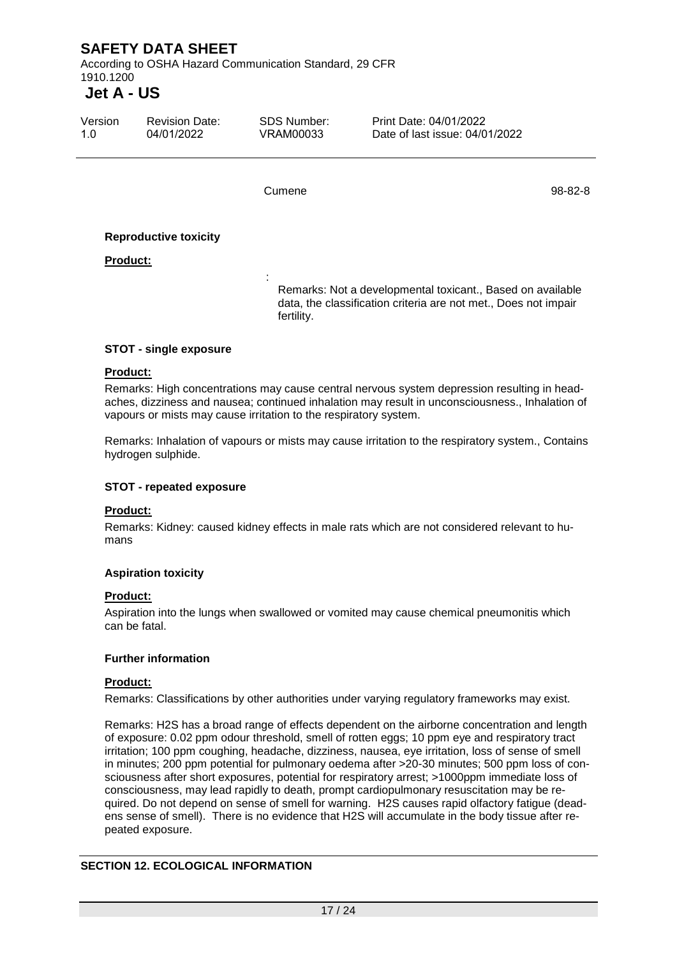According to OSHA Hazard Communication Standard, 29 CFR 1910.1200

# **Jet A - US**

| Version | <b>Revision Date:</b> | SDS Number: | Print Date: 04/01/2022         |
|---------|-----------------------|-------------|--------------------------------|
| 1 N     | 04/01/2022            | VRAM00033   | Date of last issue: 04/01/2022 |
|         |                       |             |                                |

:

Cumene 98-82-8

#### **Reproductive toxicity**

#### **Product:**

Remarks: Not a developmental toxicant., Based on available data, the classification criteria are not met., Does not impair fertility.

#### **STOT - single exposure**

#### **Product:**

Remarks: High concentrations may cause central nervous system depression resulting in headaches, dizziness and nausea; continued inhalation may result in unconsciousness., Inhalation of vapours or mists may cause irritation to the respiratory system.

Remarks: Inhalation of vapours or mists may cause irritation to the respiratory system., Contains hydrogen sulphide.

#### **STOT - repeated exposure**

#### **Product:**

Remarks: Kidney: caused kidney effects in male rats which are not considered relevant to humans

#### **Aspiration toxicity**

#### **Product:**

Aspiration into the lungs when swallowed or vomited may cause chemical pneumonitis which can be fatal.

#### **Further information**

#### **Product:**

Remarks: Classifications by other authorities under varying regulatory frameworks may exist.

Remarks: H2S has a broad range of effects dependent on the airborne concentration and length of exposure: 0.02 ppm odour threshold, smell of rotten eggs; 10 ppm eye and respiratory tract irritation; 100 ppm coughing, headache, dizziness, nausea, eye irritation, loss of sense of smell in minutes; 200 ppm potential for pulmonary oedema after >20-30 minutes; 500 ppm loss of consciousness after short exposures, potential for respiratory arrest; >1000ppm immediate loss of consciousness, may lead rapidly to death, prompt cardiopulmonary resuscitation may be required. Do not depend on sense of smell for warning. H2S causes rapid olfactory fatigue (deadens sense of smell). There is no evidence that H2S will accumulate in the body tissue after repeated exposure.

#### **SECTION 12. ECOLOGICAL INFORMATION**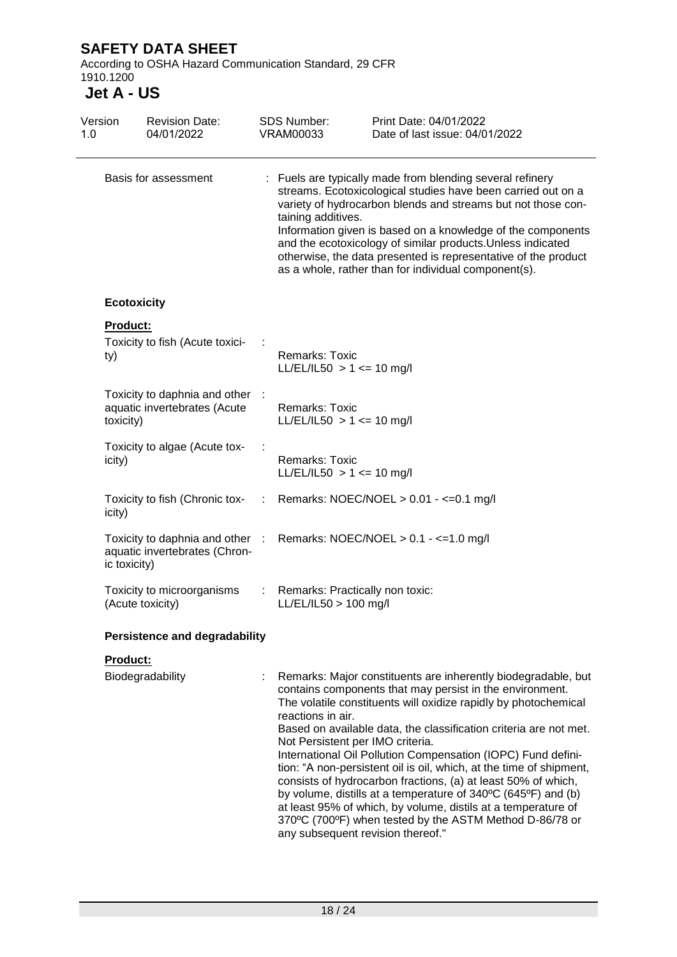According to OSHA Hazard Communication Standard, 29 CFR 1910.1200

| Version<br>1.0 | <b>Revision Date:</b><br>04/01/2022                                              |   | <b>SDS Number:</b><br><b>VRAM00033</b>                                                     | Print Date: 04/01/2022<br>Date of last issue: 04/01/2022                                                                                                                                                                                                                                                                                                                                                                                                                                                                                                                                                                                                               |
|----------------|----------------------------------------------------------------------------------|---|--------------------------------------------------------------------------------------------|------------------------------------------------------------------------------------------------------------------------------------------------------------------------------------------------------------------------------------------------------------------------------------------------------------------------------------------------------------------------------------------------------------------------------------------------------------------------------------------------------------------------------------------------------------------------------------------------------------------------------------------------------------------------|
|                | Basis for assessment                                                             |   | taining additives.                                                                         | : Fuels are typically made from blending several refinery<br>streams. Ecotoxicological studies have been carried out on a<br>variety of hydrocarbon blends and streams but not those con-<br>Information given is based on a knowledge of the components<br>and the ecotoxicology of similar products. Unless indicated<br>otherwise, the data presented is representative of the product<br>as a whole, rather than for individual component(s).                                                                                                                                                                                                                      |
|                | <b>Ecotoxicity</b>                                                               |   |                                                                                            |                                                                                                                                                                                                                                                                                                                                                                                                                                                                                                                                                                                                                                                                        |
| ty)            | <b>Product:</b><br>Toxicity to fish (Acute toxici-                               |   | <b>Remarks: Toxic</b><br>LL/EL/IL50 $> 1$ <= 10 mg/l                                       |                                                                                                                                                                                                                                                                                                                                                                                                                                                                                                                                                                                                                                                                        |
|                | Toxicity to daphnia and other :<br>aquatic invertebrates (Acute<br>toxicity)     |   | <b>Remarks: Toxic</b><br>LL/EL/IL50 > 1 <= 10 mg/l                                         |                                                                                                                                                                                                                                                                                                                                                                                                                                                                                                                                                                                                                                                                        |
| icity)         | Toxicity to algae (Acute tox-                                                    |   | Remarks: Toxic<br>$LL/EL/IL50 > 1 \le 10$ mg/l                                             |                                                                                                                                                                                                                                                                                                                                                                                                                                                                                                                                                                                                                                                                        |
| icity)         | Toxicity to fish (Chronic tox-                                                   | ÷ |                                                                                            | Remarks: NOEC/NOEL > 0.01 - <= 0.1 mg/l                                                                                                                                                                                                                                                                                                                                                                                                                                                                                                                                                                                                                                |
|                | Toxicity to daphnia and other :<br>aquatic invertebrates (Chron-<br>ic toxicity) |   |                                                                                            | Remarks: NOEC/NOEL $> 0.1 - \le 1.0$ mg/l                                                                                                                                                                                                                                                                                                                                                                                                                                                                                                                                                                                                                              |
|                | Toxicity to microorganisms<br>(Acute toxicity)                                   |   | Remarks: Practically non toxic:<br>$LL/EL/IL50 > 100$ mg/l                                 |                                                                                                                                                                                                                                                                                                                                                                                                                                                                                                                                                                                                                                                                        |
|                | <b>Persistence and degradability</b>                                             |   |                                                                                            |                                                                                                                                                                                                                                                                                                                                                                                                                                                                                                                                                                                                                                                                        |
|                | Product:                                                                         |   |                                                                                            |                                                                                                                                                                                                                                                                                                                                                                                                                                                                                                                                                                                                                                                                        |
|                | Biodegradability                                                                 |   | reactions in air.<br>Not Persistent per IMO criteria.<br>any subsequent revision thereof." | Remarks: Major constituents are inherently biodegradable, but<br>contains components that may persist in the environment.<br>The volatile constituents will oxidize rapidly by photochemical<br>Based on available data, the classification criteria are not met.<br>International Oil Pollution Compensation (IOPC) Fund defini-<br>tion: "A non-persistent oil is oil, which, at the time of shipment,<br>consists of hydrocarbon fractions, (a) at least 50% of which,<br>by volume, distills at a temperature of 340°C (645°F) and (b)<br>at least 95% of which, by volume, distils at a temperature of<br>370°C (700°F) when tested by the ASTM Method D-86/78 or |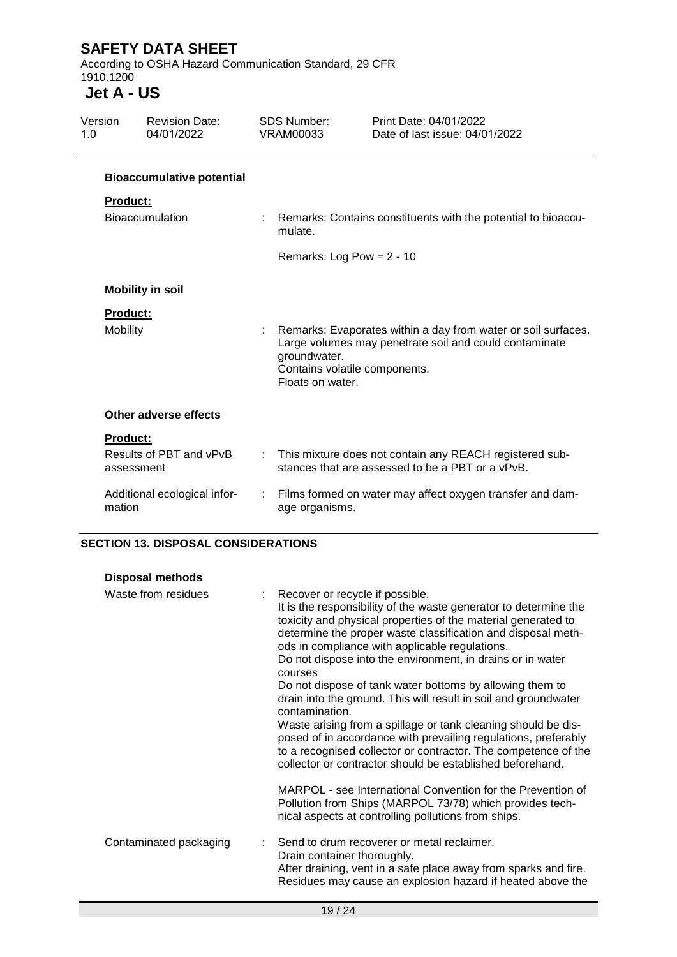According to OSHA Hazard Communication Standard, 29 CFR 1910.1200

### **Jet A - US**

| Version<br>1.0  | <b>Revision Date:</b><br>04/01/2022   |   | <b>SDS Number:</b><br><b>VRAM00033</b>                            | Print Date: 04/01/2022<br>Date of last issue: 04/01/2022                                                                |
|-----------------|---------------------------------------|---|-------------------------------------------------------------------|-------------------------------------------------------------------------------------------------------------------------|
|                 | <b>Bioaccumulative potential</b>      |   |                                                                   |                                                                                                                         |
| <b>Product:</b> |                                       |   |                                                                   |                                                                                                                         |
|                 | <b>Bioaccumulation</b>                |   | mulate.                                                           | Remarks: Contains constituents with the potential to bioaccu-                                                           |
|                 |                                       |   | Remarks: Log Pow = $2 - 10$                                       |                                                                                                                         |
|                 | <b>Mobility in soil</b>               |   |                                                                   |                                                                                                                         |
| <b>Product:</b> |                                       |   |                                                                   |                                                                                                                         |
| Mobility        |                                       |   | groundwater.<br>Contains volatile components.<br>Floats on water. | Remarks: Evaporates within a day from water or soil surfaces.<br>Large volumes may penetrate soil and could contaminate |
|                 | Other adverse effects                 |   |                                                                   |                                                                                                                         |
| <b>Product:</b> |                                       |   |                                                                   |                                                                                                                         |
|                 | Results of PBT and vPvB<br>assessment | ÷ |                                                                   | This mixture does not contain any REACH registered sub-<br>stances that are assessed to be a PBT or a vPvB.             |
| mation          | Additional ecological infor-          |   | age organisms.                                                    | : Films formed on water may affect oxygen transfer and dam-                                                             |

#### **SECTION 13. DISPOSAL CONSIDERATIONS**

| <b>Disposal methods</b> |                                                                                                                                                                                                                                                                                                                                                                                                                             |
|-------------------------|-----------------------------------------------------------------------------------------------------------------------------------------------------------------------------------------------------------------------------------------------------------------------------------------------------------------------------------------------------------------------------------------------------------------------------|
| Waste from residues     | Recover or recycle if possible.<br>It is the responsibility of the waste generator to determine the<br>toxicity and physical properties of the material generated to<br>determine the proper waste classification and disposal meth-<br>ods in compliance with applicable regulations.<br>Do not dispose into the environment, in drains or in water<br>courses<br>Do not dispose of tank water bottoms by allowing them to |
|                         | drain into the ground. This will result in soil and groundwater<br>contamination.<br>Waste arising from a spillage or tank cleaning should be dis-<br>posed of in accordance with prevailing regulations, preferably<br>to a recognised collector or contractor. The competence of the<br>collector or contractor should be established beforehand.                                                                         |
|                         | MARPOL - see International Convention for the Prevention of<br>Pollution from Ships (MARPOL 73/78) which provides tech-<br>nical aspects at controlling pollutions from ships.                                                                                                                                                                                                                                              |
| Contaminated packaging  | Send to drum recoverer or metal reclaimer.<br>Drain container thoroughly.<br>After draining, vent in a safe place away from sparks and fire.<br>Residues may cause an explosion hazard if heated above the                                                                                                                                                                                                                  |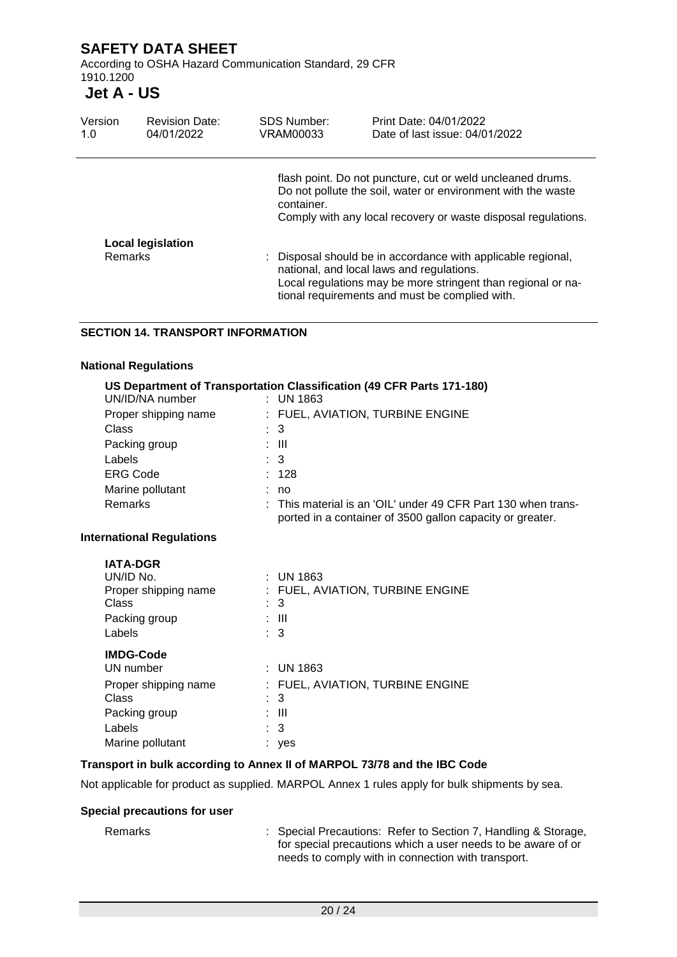According to OSHA Hazard Communication Standard, 29 CFR 1910.1200

# **Jet A - US**

| Version<br>1.0 | <b>Revision Date:</b><br>04/01/2022 | <b>SDS Number:</b><br>VRAM00033 | Print Date: 04/01/2022<br>Date of last issue: 04/01/2022                                                                                                                                                                    |
|----------------|-------------------------------------|---------------------------------|-----------------------------------------------------------------------------------------------------------------------------------------------------------------------------------------------------------------------------|
|                |                                     | container.                      | flash point. Do not puncture, cut or weld uncleaned drums.<br>Do not pollute the soil, water or environment with the waste<br>Comply with any local recovery or waste disposal regulations.                                 |
|                | <b>Local legislation</b>            |                                 |                                                                                                                                                                                                                             |
| <b>Remarks</b> |                                     |                                 | : Disposal should be in accordance with applicable regional,<br>national, and local laws and regulations.<br>Local regulations may be more stringent than regional or na-<br>tional requirements and must be complied with. |

#### **SECTION 14. TRANSPORT INFORMATION**

#### **National Regulations**

| UN/ID/NA number                  | US Department of Transportation Classification (49 CFR Parts 171-180)<br>$:$ UN 1863                                                  |
|----------------------------------|---------------------------------------------------------------------------------------------------------------------------------------|
| Proper shipping name             | : FUEL, AVIATION, TURBINE ENGINE                                                                                                      |
| Class                            | 3                                                                                                                                     |
| Packing group                    | : III                                                                                                                                 |
| Labels                           | $\therefore$ 3                                                                                                                        |
| <b>ERG Code</b>                  | : 128                                                                                                                                 |
| Marine pollutant                 | : no                                                                                                                                  |
| <b>Remarks</b>                   | $\therefore$ This material is an 'OIL' under 49 CFR Part 130 when trans-<br>ported in a container of 3500 gallon capacity or greater. |
| <b>International Regulations</b> |                                                                                                                                       |
| <b>IATA-DGR</b>                  |                                                                                                                                       |
| UN/ID No.                        | $:$ UN 1863                                                                                                                           |
| Proper shipping name             | : FUEL, AVIATION, TURBINE ENGINE                                                                                                      |
| <b>Class</b>                     | 3                                                                                                                                     |
| Packing group                    | : III                                                                                                                                 |
| Labels                           | : 3                                                                                                                                   |
| <b>IMDG-Code</b>                 |                                                                                                                                       |
| UN number                        | $\pm$ UN 1863                                                                                                                         |
| Proper shipping name             | : FUEL, AVIATION, TURBINE ENGINE                                                                                                      |
| Class                            | 3                                                                                                                                     |
| Packing group                    | : III                                                                                                                                 |
| Labels                           | : 3                                                                                                                                   |
| Marine pollutant                 | yes                                                                                                                                   |
|                                  |                                                                                                                                       |

### **Transport in bulk according to Annex II of MARPOL 73/78 and the IBC Code**

Not applicable for product as supplied. MARPOL Annex 1 rules apply for bulk shipments by sea.

#### **Special precautions for user**

Remarks : Special Precautions: Refer to Section 7, Handling & Storage, for special precautions which a user needs to be aware of or needs to comply with in connection with transport.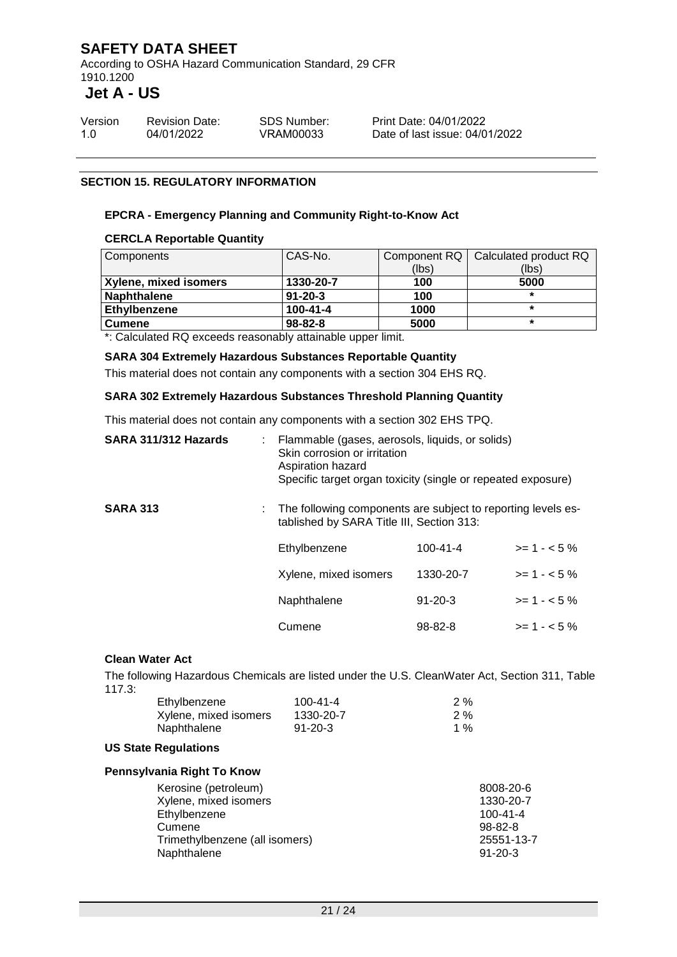According to OSHA Hazard Communication Standard, 29 CFR 1910.1200

### **Jet A - US**

| Version | <b>Revision Date:</b> | <b>SDS Number:</b> |
|---------|-----------------------|--------------------|
| 1.0     | 04/01/2022            | VRAM00033          |

Print Date: 04/01/2022 Date of last issue: 04/01/2022

#### **SECTION 15. REGULATORY INFORMATION**

#### **EPCRA - Emergency Planning and Community Right-to-Know Act**

#### **CERCLA Reportable Quantity**

| CAS-No.        |       | Calculated product RQ |
|----------------|-------|-----------------------|
|                | (lbs) | (lbs)                 |
| 1330-20-7      | 100   | 5000                  |
| $91 - 20 - 3$  | 100   | ÷                     |
| $100 - 41 - 4$ | 1000  |                       |
| $98 - 82 - 8$  | 5000  |                       |
|                |       | Component RQ          |

\*: Calculated RQ exceeds reasonably attainable upper limit.

**SARA 304 Extremely Hazardous Substances Reportable Quantity**

This material does not contain any components with a section 304 EHS RQ.

#### **SARA 302 Extremely Hazardous Substances Threshold Planning Quantity**

This material does not contain any components with a section 302 EHS TPQ.

| SARA 311/312 Hazards | : Flammable (gases, aerosols, liquids, or solids)<br>Skin corrosion or irritation<br>Aspiration hazard<br>Specific target organ toxicity (single or repeated exposure) |                |              |
|----------------------|------------------------------------------------------------------------------------------------------------------------------------------------------------------------|----------------|--------------|
| <b>SARA 313</b>      | The following components are subject to reporting levels es-<br>tablished by SARA Title III, Section 313:                                                              |                |              |
|                      | Ethylbenzene                                                                                                                                                           | $100 - 41 - 4$ | $>= 1 - 5\%$ |
|                      | Xylene, mixed isomers                                                                                                                                                  | 1330-20-7      | $>= 1 - 5%$  |
|                      | Naphthalene                                                                                                                                                            | $91 - 20 - 3$  | $>= 1 - 5\%$ |
|                      | Cumene                                                                                                                                                                 | $98 - 82 - 8$  | $>= 1 - 5\%$ |
|                      |                                                                                                                                                                        |                |              |

#### **Clean Water Act**

The following Hazardous Chemicals are listed under the U.S. CleanWater Act, Section 311, Table 117.3:

| Ethylbenzene          | 100-41-4      | $2\%$ |
|-----------------------|---------------|-------|
| Xylene, mixed isomers | 1330-20-7     | 2%    |
| Naphthalene           | $91 - 20 - 3$ | 1 %   |

#### **US State Regulations**

#### **Pennsylvania Right To Know**

| Kerosine (petroleum)           | 8008-20-6      |
|--------------------------------|----------------|
| Xylene, mixed isomers          | 1330-20-7      |
| Ethylbenzene                   | $100 - 41 - 4$ |
| Cumene                         | $98 - 82 - 8$  |
| Trimethylbenzene (all isomers) | 25551-13-7     |
| Naphthalene                    | $91 - 20 - 3$  |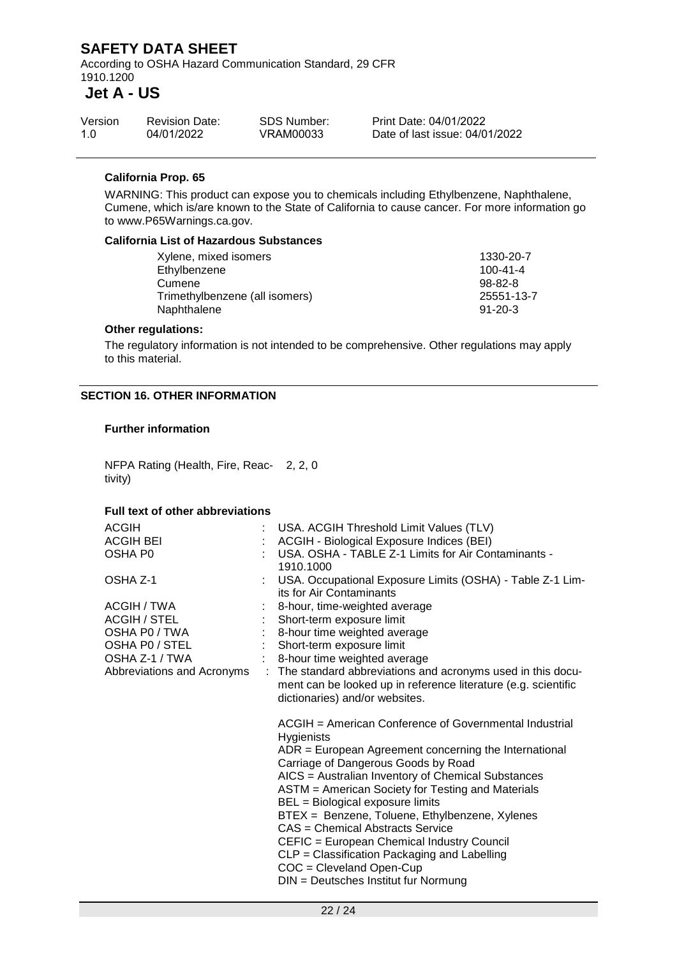According to OSHA Hazard Communication Standard, 29 CFR 1910.1200

### **Jet A - US**

| Version | <b>Revision Date:</b> | <b>SDS Number:</b> | <b>Print D</b> |
|---------|-----------------------|--------------------|----------------|
| 1.0     | 04/01/2022            | VRAM00033          | Date c         |

Date: 04/01/2022 of last issue: 04/01/2022

#### **California Prop. 65**

WARNING: This product can expose you to chemicals including Ethylbenzene, Naphthalene, Cumene, which is/are known to the State of California to cause cancer. For more information go to www.P65Warnings.ca.gov.

#### **California List of Hazardous Substances**

| Xylene, mixed isomers          | 1330-20-7      |
|--------------------------------|----------------|
| Ethylbenzene                   | $100 - 41 - 4$ |
| Cumene                         | $98-82-8$      |
| Trimethylbenzene (all isomers) | 25551-13-7     |
| Naphthalene                    | $91 - 20 - 3$  |
|                                |                |

#### **Other regulations:**

The regulatory information is not intended to be comprehensive. Other regulations may apply to this material.

#### **SECTION 16. OTHER INFORMATION**

#### **Further information**

NFPA Rating (Health, Fire, Reac-2, 2, 0 tivity)

#### **Full text of other abbreviations**

| <b>ACGIH</b>               |   | : USA. ACGIH Threshold Limit Values (TLV)                                                                                                                                                                                                                                                                                                                                                                                                                                                                                                                                     |
|----------------------------|---|-------------------------------------------------------------------------------------------------------------------------------------------------------------------------------------------------------------------------------------------------------------------------------------------------------------------------------------------------------------------------------------------------------------------------------------------------------------------------------------------------------------------------------------------------------------------------------|
| <b>ACGIH BEI</b>           |   | ACGIH - Biological Exposure Indices (BEI)                                                                                                                                                                                                                                                                                                                                                                                                                                                                                                                                     |
| OSHA P0                    |   | USA. OSHA - TABLE Z-1 Limits for Air Contaminants -<br>1910.1000                                                                                                                                                                                                                                                                                                                                                                                                                                                                                                              |
| OSHA Z-1                   |   | USA. Occupational Exposure Limits (OSHA) - Table Z-1 Lim-<br>its for Air Contaminants                                                                                                                                                                                                                                                                                                                                                                                                                                                                                         |
| ACGIH / TWA                |   | 8-hour, time-weighted average                                                                                                                                                                                                                                                                                                                                                                                                                                                                                                                                                 |
| <b>ACGIH / STEL</b>        |   | Short-term exposure limit                                                                                                                                                                                                                                                                                                                                                                                                                                                                                                                                                     |
| OSHA P0 / TWA              |   | 8-hour time weighted average                                                                                                                                                                                                                                                                                                                                                                                                                                                                                                                                                  |
| OSHA PO / STEL             |   | Short-term exposure limit                                                                                                                                                                                                                                                                                                                                                                                                                                                                                                                                                     |
| OSHA Z-1 / TWA             |   | : 8-hour time weighted average                                                                                                                                                                                                                                                                                                                                                                                                                                                                                                                                                |
| Abbreviations and Acronyms | ÷ | The standard abbreviations and acronyms used in this docu-<br>ment can be looked up in reference literature (e.g. scientific<br>dictionaries) and/or websites.                                                                                                                                                                                                                                                                                                                                                                                                                |
|                            |   | ACGIH = American Conference of Governmental Industrial<br>Hygienists<br>$ADR = European Agreement concerning the International$<br>Carriage of Dangerous Goods by Road<br>AICS = Australian Inventory of Chemical Substances<br>ASTM = American Society for Testing and Materials<br>BEL = Biological exposure limits<br>BTEX = Benzene, Toluene, Ethylbenzene, Xylenes<br>CAS = Chemical Abstracts Service<br>CEFIC = European Chemical Industry Council<br>CLP = Classification Packaging and Labelling<br>COC = Cleveland Open-Cup<br>DIN = Deutsches Institut fur Normung |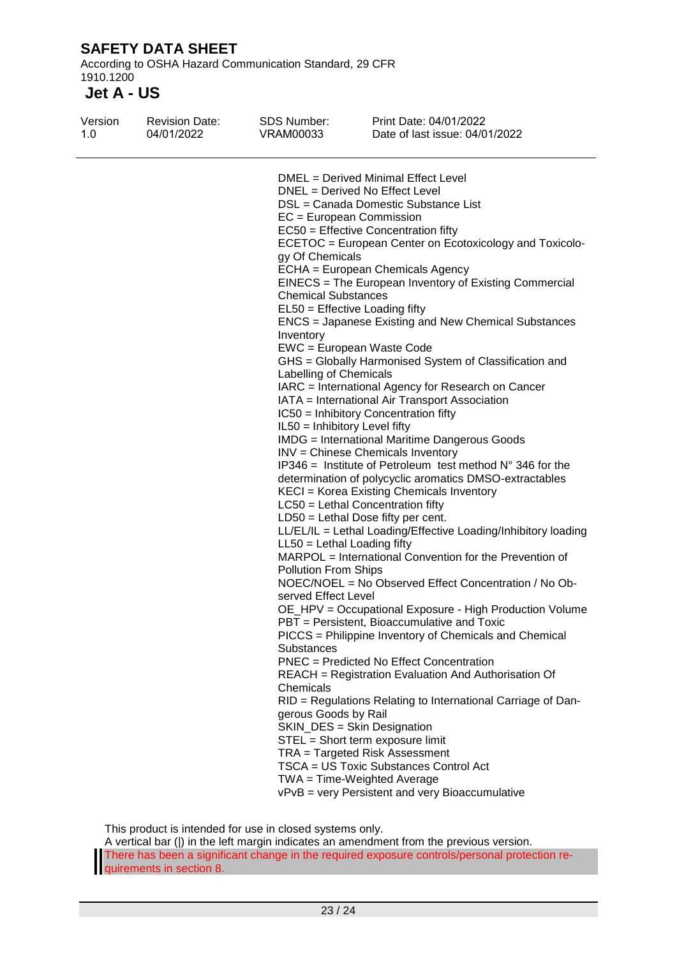According to OSHA Hazard Communication Standard, 29 CFR 1910.1200

# **Jet A - US**

| Version<br>1.0 | <b>Revision Date:</b><br>04/01/2022 | <b>SDS Number:</b><br>VRAM00033                                                                                                                                                                                                                                                                                                                                                                                                                                                                                                                                                                                                                                                                                                                                                                                                                                                                                                                                                                                                                                                                                                                                                                                                                                                                                                                                                                                                                                                                                                                                                                                                                                                                                                                                                                                                                                                                                                                                                                                                                                             | Print Date: 04/01/2022<br>Date of last issue: 04/01/2022 |
|----------------|-------------------------------------|-----------------------------------------------------------------------------------------------------------------------------------------------------------------------------------------------------------------------------------------------------------------------------------------------------------------------------------------------------------------------------------------------------------------------------------------------------------------------------------------------------------------------------------------------------------------------------------------------------------------------------------------------------------------------------------------------------------------------------------------------------------------------------------------------------------------------------------------------------------------------------------------------------------------------------------------------------------------------------------------------------------------------------------------------------------------------------------------------------------------------------------------------------------------------------------------------------------------------------------------------------------------------------------------------------------------------------------------------------------------------------------------------------------------------------------------------------------------------------------------------------------------------------------------------------------------------------------------------------------------------------------------------------------------------------------------------------------------------------------------------------------------------------------------------------------------------------------------------------------------------------------------------------------------------------------------------------------------------------------------------------------------------------------------------------------------------------|----------------------------------------------------------|
|                |                                     | DMEL = Derived Minimal Effect Level<br>DNEL = Derived No Effect Level<br>DSL = Canada Domestic Substance List<br>$EC = European Commission$<br>EC50 = Effective Concentration fifty<br>ECETOC = European Center on Ecotoxicology and Toxicolo-<br>gy Of Chemicals<br>ECHA = European Chemicals Agency<br>EINECS = The European Inventory of Existing Commercial<br><b>Chemical Substances</b><br>$EL50 = E$ ffective Loading fifty<br>ENCS = Japanese Existing and New Chemical Substances<br>Inventory<br>EWC = European Waste Code<br>GHS = Globally Harmonised System of Classification and<br>Labelling of Chemicals<br>IARC = International Agency for Research on Cancer<br>IATA = International Air Transport Association<br>IC50 = Inhibitory Concentration fifty<br>IL50 = Inhibitory Level fifty<br><b>IMDG</b> = International Maritime Dangerous Goods<br>INV = Chinese Chemicals Inventory<br>IP346 = Institute of Petroleum test method $N^{\circ}$ 346 for the<br>determination of polycyclic aromatics DMSO-extractables<br>KECI = Korea Existing Chemicals Inventory<br>LC50 = Lethal Concentration fifty<br>$LD50 = Lethal Does fifty per cent.$<br>LL/EL/IL = Lethal Loading/Effective Loading/Inhibitory loading<br>$LL50 = Lethal$ Loading fifty<br>MARPOL = International Convention for the Prevention of<br><b>Pollution From Ships</b><br>NOEC/NOEL = No Observed Effect Concentration / No Ob-<br>served Effect Level<br>OE_HPV = Occupational Exposure - High Production Volume<br>PBT = Persistent, Bioaccumulative and Toxic<br>PICCS = Philippine Inventory of Chemicals and Chemical<br>Substances<br>PNEC = Predicted No Effect Concentration<br>REACH = Registration Evaluation And Authorisation Of<br>Chemicals<br>RID = Regulations Relating to International Carriage of Dan-<br>gerous Goods by Rail<br>SKIN_DES = Skin Designation<br>STEL = Short term exposure limit<br>TRA = Targeted Risk Assessment<br>TSCA = US Toxic Substances Control Act<br>TWA = Time-Weighted Average<br>vPvB = very Persistent and very Bioaccumulative |                                                          |
|                |                                     |                                                                                                                                                                                                                                                                                                                                                                                                                                                                                                                                                                                                                                                                                                                                                                                                                                                                                                                                                                                                                                                                                                                                                                                                                                                                                                                                                                                                                                                                                                                                                                                                                                                                                                                                                                                                                                                                                                                                                                                                                                                                             |                                                          |

This product is intended for use in closed systems only.

A vertical bar (|) in the left margin indicates an amendment from the previous version. There has been a significant change in the required exposure controls/personal protection requirements in section 8.